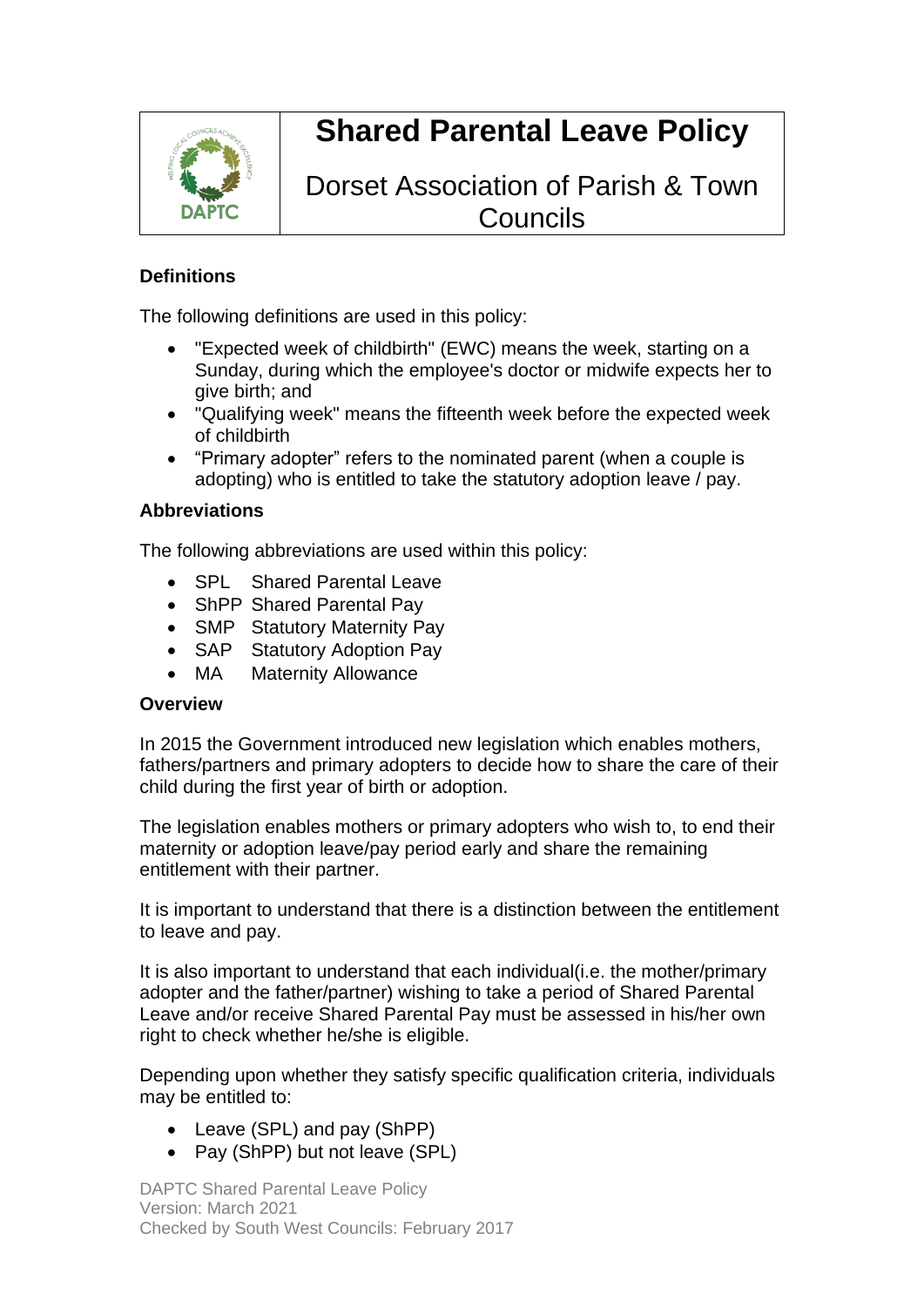

# **Shared Parental Leave Policy**

# Dorset Association of Parish & Town **Councils**

#### **Definitions**

The following definitions are used in this policy:

- "Expected week of childbirth" (EWC) means the week, starting on a Sunday, during which the employee's doctor or midwife expects her to give birth; and
- "Qualifying week" means the fifteenth week before the expected week of childbirth
- "Primary adopter" refers to the nominated parent (when a couple is adopting) who is entitled to take the statutory adoption leave / pay.

#### **Abbreviations**

The following abbreviations are used within this policy:

- SPL Shared Parental Leave
- ShPP Shared Parental Pay
- SMP Statutory Maternity Pay
- SAP Statutory Adoption Pay
- MA Maternity Allowance

#### **Overview**

In 2015 the Government introduced new legislation which enables mothers, fathers/partners and primary adopters to decide how to share the care of their child during the first year of birth or adoption.

The legislation enables mothers or primary adopters who wish to, to end their maternity or adoption leave/pay period early and share the remaining entitlement with their partner.

It is important to understand that there is a distinction between the entitlement to leave and pay.

It is also important to understand that each individual(i.e. the mother/primary adopter and the father/partner) wishing to take a period of Shared Parental Leave and/or receive Shared Parental Pay must be assessed in his/her own right to check whether he/she is eligible.

Depending upon whether they satisfy specific qualification criteria, individuals may be entitled to:

- Leave (SPL) and pay (ShPP)
- Pay (ShPP) but not leave (SPL)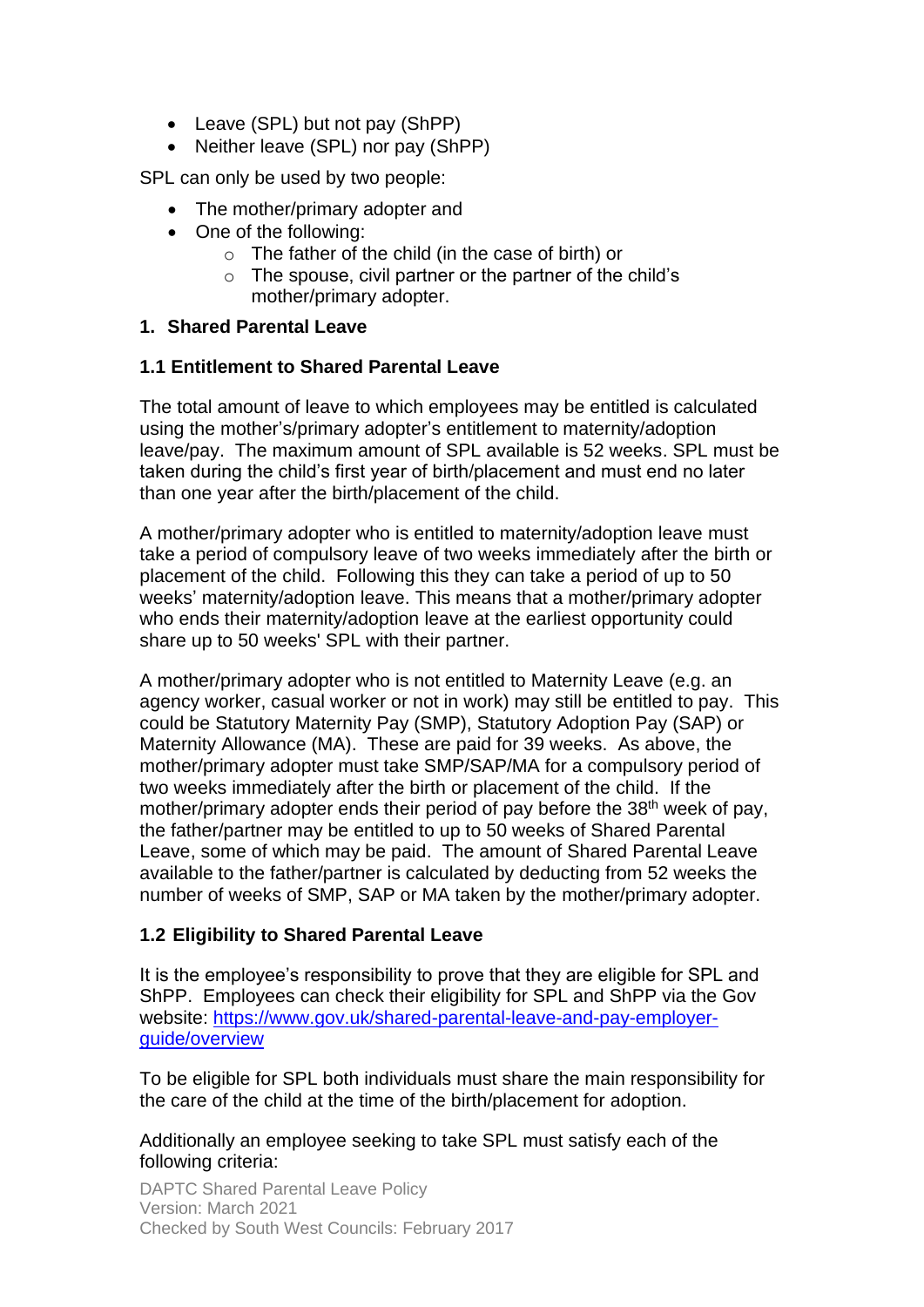- Leave (SPL) but not pay (ShPP)
- Neither leave (SPL) nor pay (ShPP)

SPL can only be used by two people:

- The mother/primary adopter and
- One of the following:
	- o The father of the child (in the case of birth) or
	- o The spouse, civil partner or the partner of the child's mother/primary adopter.

#### **1. Shared Parental Leave**

#### **1.1 Entitlement to Shared Parental Leave**

The total amount of leave to which employees may be entitled is calculated using the mother's/primary adopter's entitlement to maternity/adoption leave/pay. The maximum amount of SPL available is 52 weeks. SPL must be taken during the child's first year of birth/placement and must end no later than one year after the birth/placement of the child.

A mother/primary adopter who is entitled to maternity/adoption leave must take a period of compulsory leave of two weeks immediately after the birth or placement of the child. Following this they can take a period of up to 50 weeks' maternity/adoption leave. This means that a mother/primary adopter who ends their maternity/adoption leave at the earliest opportunity could share up to 50 weeks' SPL with their partner.

A mother/primary adopter who is not entitled to Maternity Leave (e.g. an agency worker, casual worker or not in work) may still be entitled to pay. This could be Statutory Maternity Pay (SMP), Statutory Adoption Pay (SAP) or Maternity Allowance (MA). These are paid for 39 weeks. As above, the mother/primary adopter must take SMP/SAP/MA for a compulsory period of two weeks immediately after the birth or placement of the child. If the mother/primary adopter ends their period of pay before the 38<sup>th</sup> week of pay, the father/partner may be entitled to up to 50 weeks of Shared Parental Leave, some of which may be paid. The amount of Shared Parental Leave available to the father/partner is calculated by deducting from 52 weeks the number of weeks of SMP, SAP or MA taken by the mother/primary adopter.

#### **1.2 Eligibility to Shared Parental Leave**

It is the employee's responsibility to prove that they are eligible for SPL and ShPP. Employees can check their eligibility for SPL and ShPP via the Gov website: [https://www.gov.uk/shared-parental-leave-and-pay-employer](https://www.gov.uk/shared-parental-leave-and-pay-employer-guide/overview)[guide/overview](https://www.gov.uk/shared-parental-leave-and-pay-employer-guide/overview)

To be eligible for SPL both individuals must share the main responsibility for the care of the child at the time of the birth/placement for adoption.

Additionally an employee seeking to take SPL must satisfy each of the following criteria: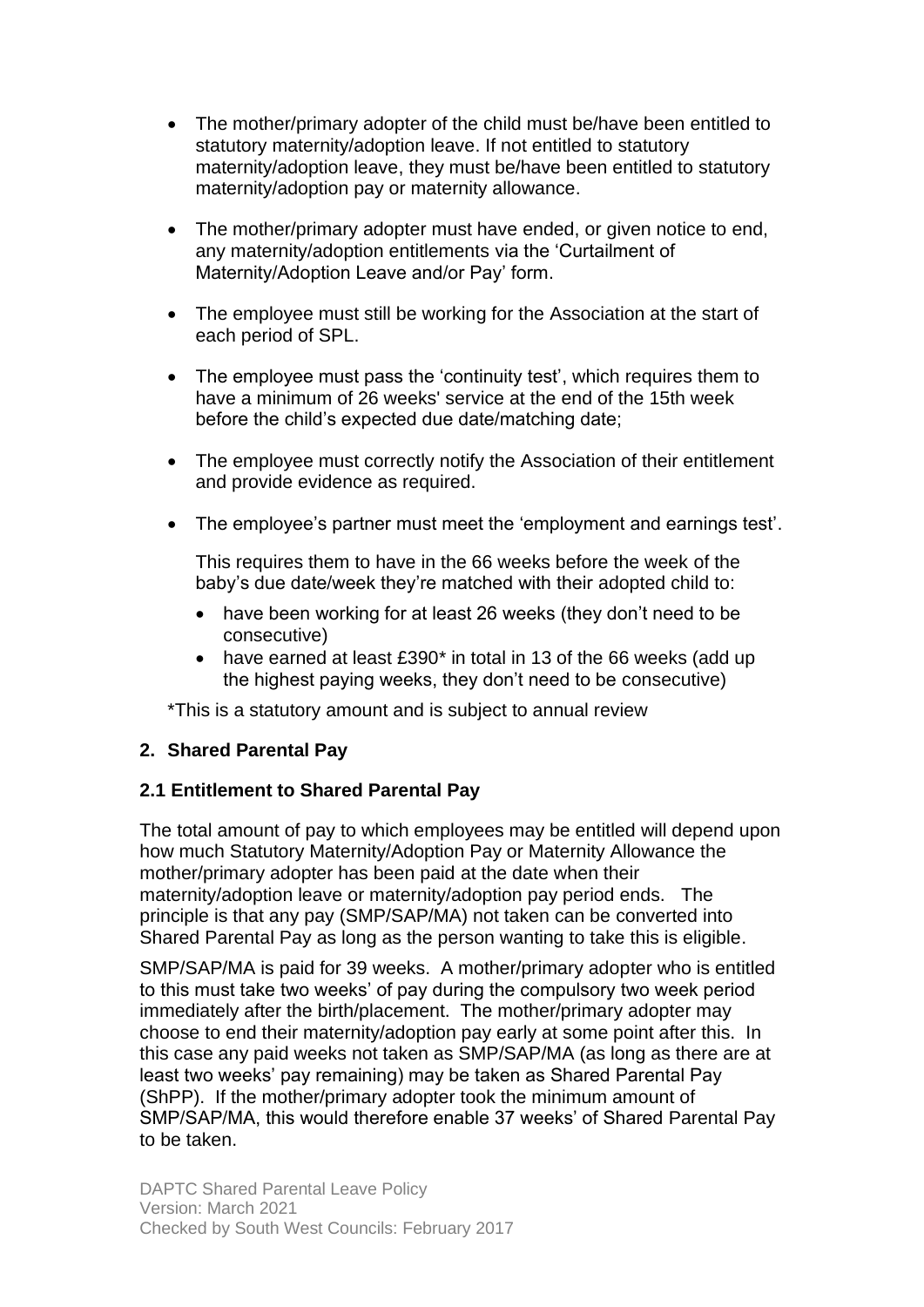- The mother/primary adopter of the child must be/have been entitled to statutory maternity/adoption leave. If not entitled to statutory maternity/adoption leave, they must be/have been entitled to statutory maternity/adoption pay or maternity allowance.
- The mother/primary adopter must have ended, or given notice to end, any maternity/adoption entitlements via the 'Curtailment of Maternity/Adoption Leave and/or Pay' form.
- The employee must still be working for the Association at the start of each period of SPL.
- The employee must pass the 'continuity test', which requires them to have a minimum of 26 weeks' service at the end of the 15th week before the child's expected due date/matching date;
- The employee must correctly notify the Association of their entitlement and provide evidence as required.
- The employee's partner must meet the 'employment and earnings test'.

This requires them to have in the 66 weeks before the week of the baby's due date/week they're matched with their adopted child to:

- have been working for at least 26 weeks (they don't need to be consecutive)
- have earned at least £390<sup>\*</sup> in total in 13 of the 66 weeks (add up the highest paying weeks, they don't need to be consecutive)

\*This is a statutory amount and is subject to annual review

#### **2. Shared Parental Pay**

#### **2.1 Entitlement to Shared Parental Pay**

The total amount of pay to which employees may be entitled will depend upon how much Statutory Maternity/Adoption Pay or Maternity Allowance the mother/primary adopter has been paid at the date when their maternity/adoption leave or maternity/adoption pay period ends. The principle is that any pay (SMP/SAP/MA) not taken can be converted into Shared Parental Pay as long as the person wanting to take this is eligible.

SMP/SAP/MA is paid for 39 weeks. A mother/primary adopter who is entitled to this must take two weeks' of pay during the compulsory two week period immediately after the birth/placement. The mother/primary adopter may choose to end their maternity/adoption pay early at some point after this. In this case any paid weeks not taken as SMP/SAP/MA (as long as there are at least two weeks' pay remaining) may be taken as Shared Parental Pay (ShPP). If the mother/primary adopter took the minimum amount of SMP/SAP/MA, this would therefore enable 37 weeks' of Shared Parental Pay to be taken.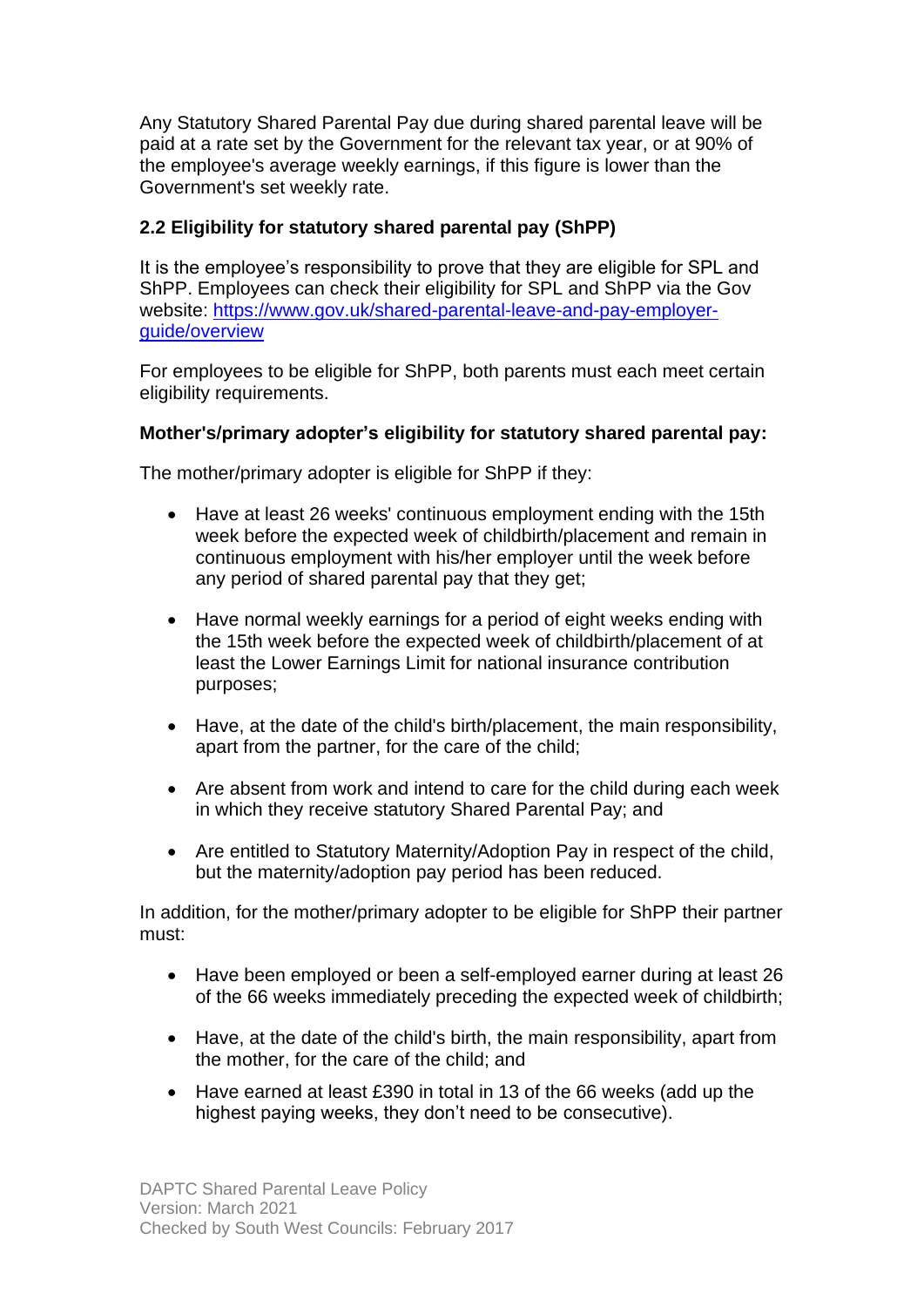Any Statutory Shared Parental Pay due during shared parental leave will be paid at a rate set by the Government for the relevant tax year, or at 90% of the employee's average weekly earnings, if this figure is lower than the Government's set weekly rate.

#### **2.2 Eligibility for statutory shared parental pay (ShPP)**

It is the employee's responsibility to prove that they are eligible for SPL and ShPP. Employees can check their eligibility for SPL and ShPP via the Gov website: [https://www.gov.uk/shared-parental-leave-and-pay-employer](https://www.gov.uk/shared-parental-leave-and-pay-employer-guide/overview)[guide/overview](https://www.gov.uk/shared-parental-leave-and-pay-employer-guide/overview)

For employees to be eligible for ShPP, both parents must each meet certain eligibility requirements.

#### **Mother's/primary adopter's eligibility for statutory shared parental pay:**

The mother/primary adopter is eligible for ShPP if they:

- Have at least 26 weeks' continuous employment ending with the 15th week before the expected week of childbirth/placement and remain in continuous employment with his/her employer until the week before any period of shared parental pay that they get;
- Have normal weekly earnings for a period of eight weeks ending with the 15th week before the expected week of childbirth/placement of at least the Lower Earnings Limit for national insurance contribution purposes;
- Have, at the date of the child's birth/placement, the main responsibility, apart from the partner, for the care of the child;
- Are absent from work and intend to care for the child during each week in which they receive statutory Shared Parental Pay; and
- Are entitled to Statutory Maternity/Adoption Pay in respect of the child, but the maternity/adoption pay period has been reduced.

In addition, for the mother/primary adopter to be eligible for ShPP their partner must:

- Have been employed or been a self-employed earner during at least 26 of the 66 weeks immediately preceding the expected week of childbirth;
- Have, at the date of the child's birth, the main responsibility, apart from the mother, for the care of the child; and
- Have earned at least £390 in total in 13 of the 66 weeks (add up the highest paying weeks, they don't need to be consecutive).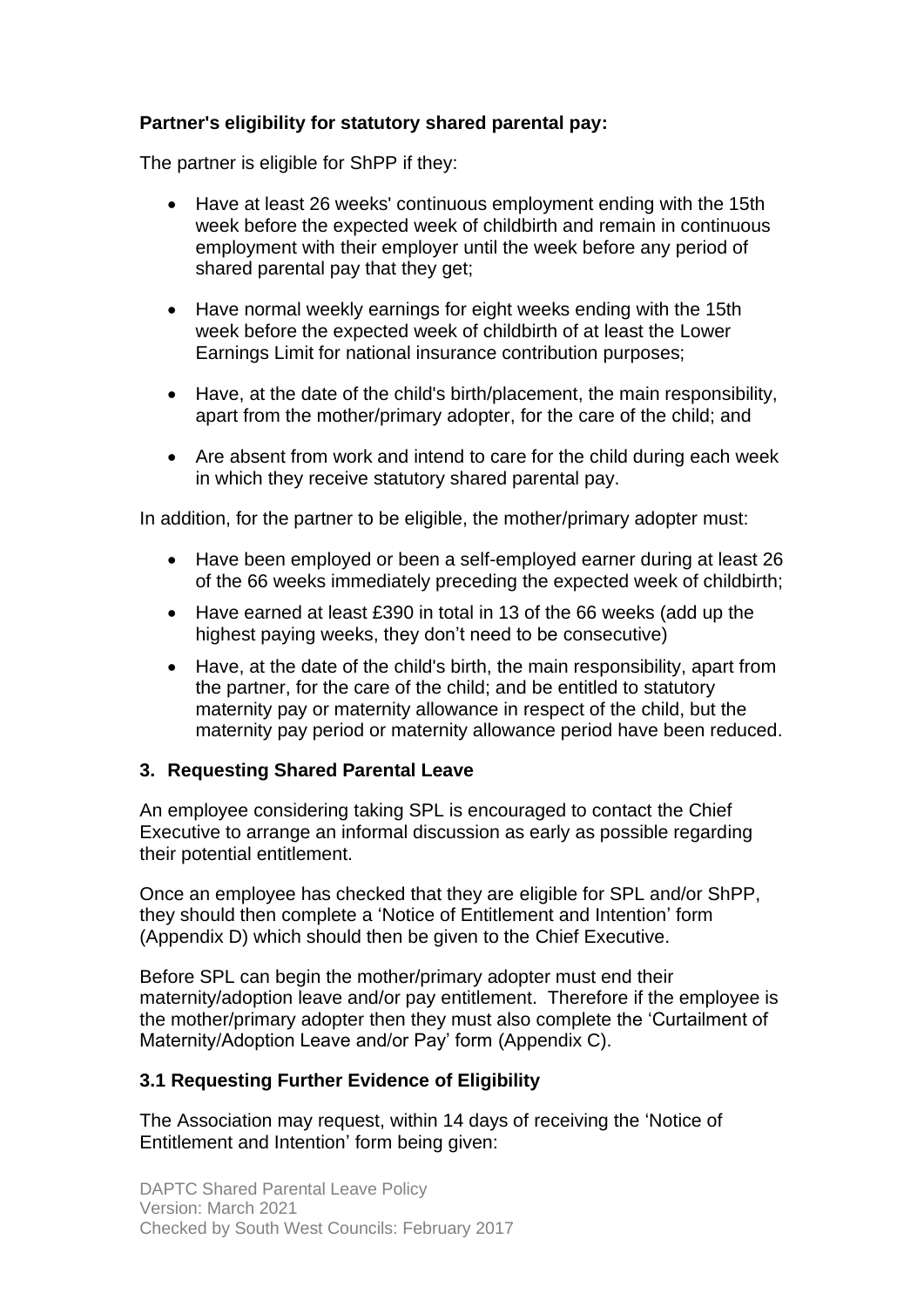#### **Partner's eligibility for statutory shared parental pay:**

The partner is eligible for ShPP if they:

- Have at least 26 weeks' continuous employment ending with the 15th week before the expected week of childbirth and remain in continuous employment with their employer until the week before any period of shared parental pay that they get;
- Have normal weekly earnings for eight weeks ending with the 15th week before the expected week of childbirth of at least the Lower Earnings Limit for national insurance contribution purposes;
- Have, at the date of the child's birth/placement, the main responsibility, apart from the mother/primary adopter, for the care of the child; and
- Are absent from work and intend to care for the child during each week in which they receive statutory shared parental pay.

In addition, for the partner to be eligible, the mother/primary adopter must:

- Have been employed or been a self-employed earner during at least 26 of the 66 weeks immediately preceding the expected week of childbirth;
- Have earned at least £390 in total in 13 of the 66 weeks (add up the highest paying weeks, they don't need to be consecutive)
- Have, at the date of the child's birth, the main responsibility, apart from the partner, for the care of the child; and be entitled to statutory maternity pay or maternity allowance in respect of the child, but the maternity pay period or maternity allowance period have been reduced.

#### **3. Requesting Shared Parental Leave**

An employee considering taking SPL is encouraged to contact the Chief Executive to arrange an informal discussion as early as possible regarding their potential entitlement.

Once an employee has checked that they are eligible for SPL and/or ShPP, they should then complete a 'Notice of Entitlement and Intention' form (Appendix D) which should then be given to the Chief Executive.

Before SPL can begin the mother/primary adopter must end their maternity/adoption leave and/or pay entitlement. Therefore if the employee is the mother/primary adopter then they must also complete the 'Curtailment of Maternity/Adoption Leave and/or Pay' form (Appendix C).

#### **3.1 Requesting Further Evidence of Eligibility**

The Association may request, within 14 days of receiving the 'Notice of Entitlement and Intention' form being given: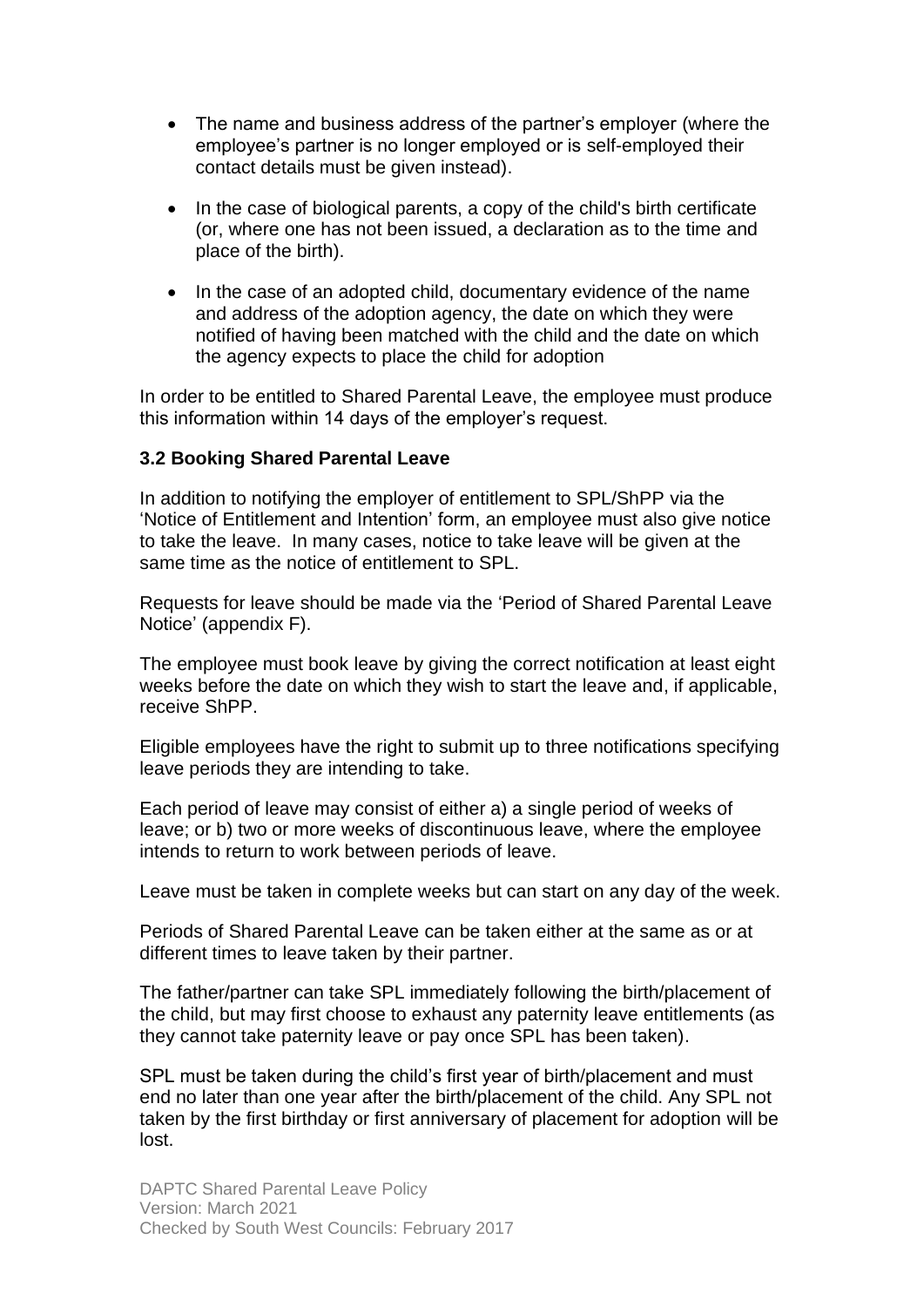- The name and business address of the partner's employer (where the employee's partner is no longer employed or is self-employed their contact details must be given instead).
- In the case of biological parents, a copy of the child's birth certificate (or, where one has not been issued, a declaration as to the time and place of the birth).
- In the case of an adopted child, documentary evidence of the name and address of the adoption agency, the date on which they were notified of having been matched with the child and the date on which the agency expects to place the child for adoption

In order to be entitled to Shared Parental Leave, the employee must produce this information within 14 days of the employer's request.

#### **3.2 Booking Shared Parental Leave**

In addition to notifying the employer of entitlement to SPL/ShPP via the 'Notice of Entitlement and Intention' form, an employee must also give notice to take the leave. In many cases, notice to take leave will be given at the same time as the notice of entitlement to SPL.

Requests for leave should be made via the 'Period of Shared Parental Leave Notice' (appendix F).

The employee must book leave by giving the correct notification at least eight weeks before the date on which they wish to start the leave and, if applicable, receive ShPP.

Eligible employees have the right to submit up to three notifications specifying leave periods they are intending to take.

Each period of leave may consist of either a) a single period of weeks of leave; or b) two or more weeks of discontinuous leave, where the employee intends to return to work between periods of leave.

Leave must be taken in complete weeks but can start on any day of the week.

Periods of Shared Parental Leave can be taken either at the same as or at different times to leave taken by their partner.

The father/partner can take SPL immediately following the birth/placement of the child, but may first choose to exhaust any paternity leave entitlements (as they cannot take paternity leave or pay once SPL has been taken).

SPL must be taken during the child's first year of birth/placement and must end no later than one year after the birth/placement of the child. Any SPL not taken by the first birthday or first anniversary of placement for adoption will be lost.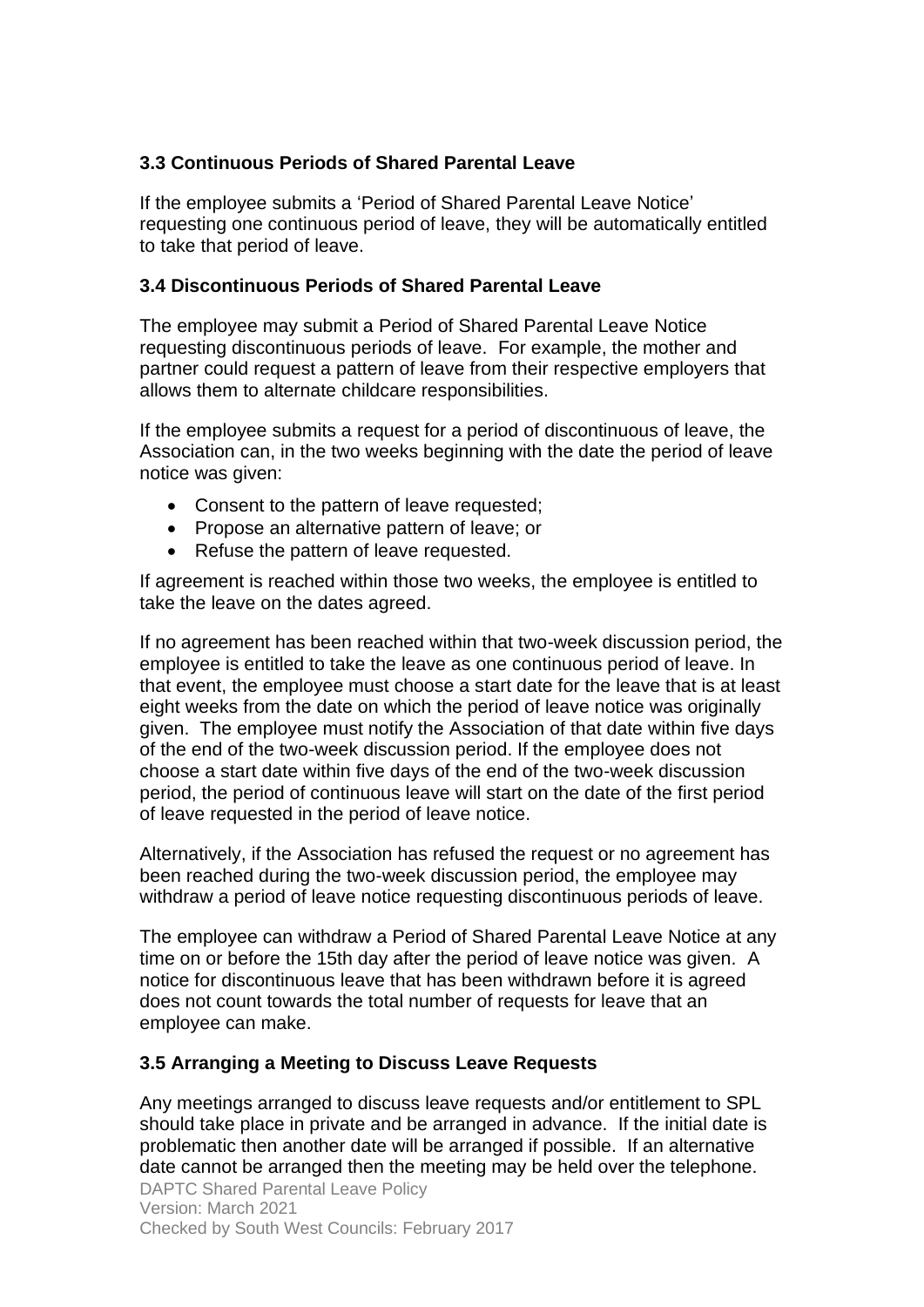#### **3.3 Continuous Periods of Shared Parental Leave**

If the employee submits a 'Period of Shared Parental Leave Notice' requesting one continuous period of leave, they will be automatically entitled to take that period of leave.

#### **3.4 Discontinuous Periods of Shared Parental Leave**

The employee may submit a Period of Shared Parental Leave Notice requesting discontinuous periods of leave. For example, the mother and partner could request a pattern of leave from their respective employers that allows them to alternate childcare responsibilities.

If the employee submits a request for a period of discontinuous of leave, the Association can, in the two weeks beginning with the date the period of leave notice was given:

- Consent to the pattern of leave requested;
- Propose an alternative pattern of leave; or
- Refuse the pattern of leave requested.

If agreement is reached within those two weeks, the employee is entitled to take the leave on the dates agreed.

If no agreement has been reached within that two-week discussion period, the employee is entitled to take the leave as one continuous period of leave. In that event, the employee must choose a start date for the leave that is at least eight weeks from the date on which the period of leave notice was originally given. The employee must notify the Association of that date within five days of the end of the two-week discussion period. If the employee does not choose a start date within five days of the end of the two-week discussion period, the period of continuous leave will start on the date of the first period of leave requested in the period of leave notice.

Alternatively, if the Association has refused the request or no agreement has been reached during the two-week discussion period, the employee may withdraw a period of leave notice requesting discontinuous periods of leave.

The employee can withdraw a Period of Shared Parental Leave Notice at any time on or before the 15th day after the period of leave notice was given. A notice for discontinuous leave that has been withdrawn before it is agreed does not count towards the total number of requests for leave that an employee can make.

#### **3.5 Arranging a Meeting to Discuss Leave Requests**

Any meetings arranged to discuss leave requests and/or entitlement to SPL should take place in private and be arranged in advance. If the initial date is problematic then another date will be arranged if possible. If an alternative date cannot be arranged then the meeting may be held over the telephone.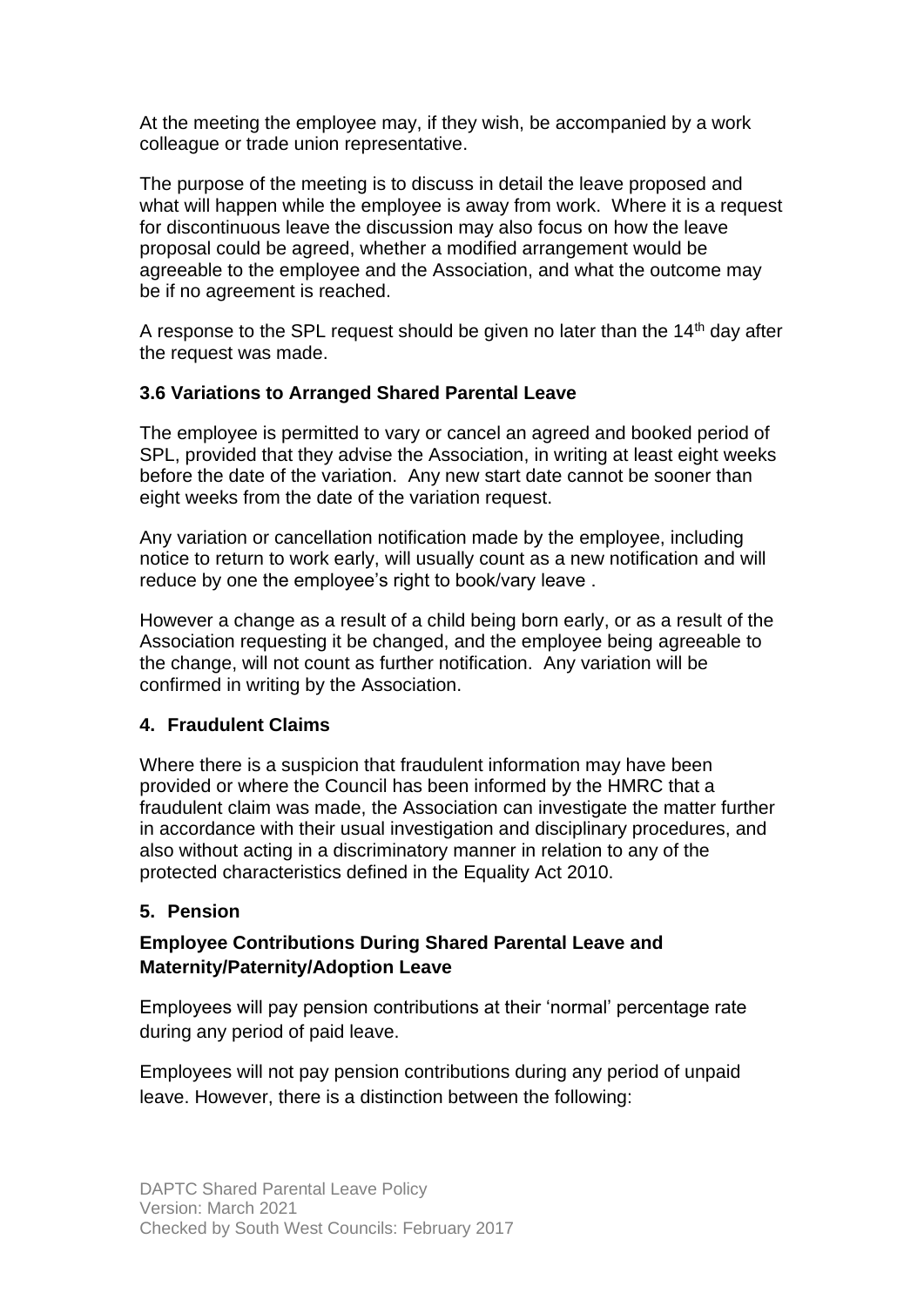At the meeting the employee may, if they wish, be accompanied by a work colleague or trade union representative.

The purpose of the meeting is to discuss in detail the leave proposed and what will happen while the employee is away from work. Where it is a request for discontinuous leave the discussion may also focus on how the leave proposal could be agreed, whether a modified arrangement would be agreeable to the employee and the Association, and what the outcome may be if no agreement is reached.

A response to the SPL request should be given no later than the  $14<sup>th</sup>$  day after the request was made.

#### **3.6 Variations to Arranged Shared Parental Leave**

The employee is permitted to vary or cancel an agreed and booked period of SPL, provided that they advise the Association, in writing at least eight weeks before the date of the variation. Any new start date cannot be sooner than eight weeks from the date of the variation request.

Any variation or cancellation notification made by the employee, including notice to return to work early, will usually count as a new notification and will reduce by one the employee's right to book/vary leave .

However a change as a result of a child being born early, or as a result of the Association requesting it be changed, and the employee being agreeable to the change, will not count as further notification. Any variation will be confirmed in writing by the Association.

#### **4. Fraudulent Claims**

Where there is a suspicion that fraudulent information may have been provided or where the Council has been informed by the HMRC that a fraudulent claim was made, the Association can investigate the matter further in accordance with their usual investigation and disciplinary procedures, and also without acting in a discriminatory manner in relation to any of the protected characteristics defined in the Equality Act 2010.

### **5. Pension**

### **Employee Contributions During Shared Parental Leave and Maternity/Paternity/Adoption Leave**

Employees will pay pension contributions at their 'normal' percentage rate during any period of paid leave.

Employees will not pay pension contributions during any period of unpaid leave. However, there is a distinction between the following: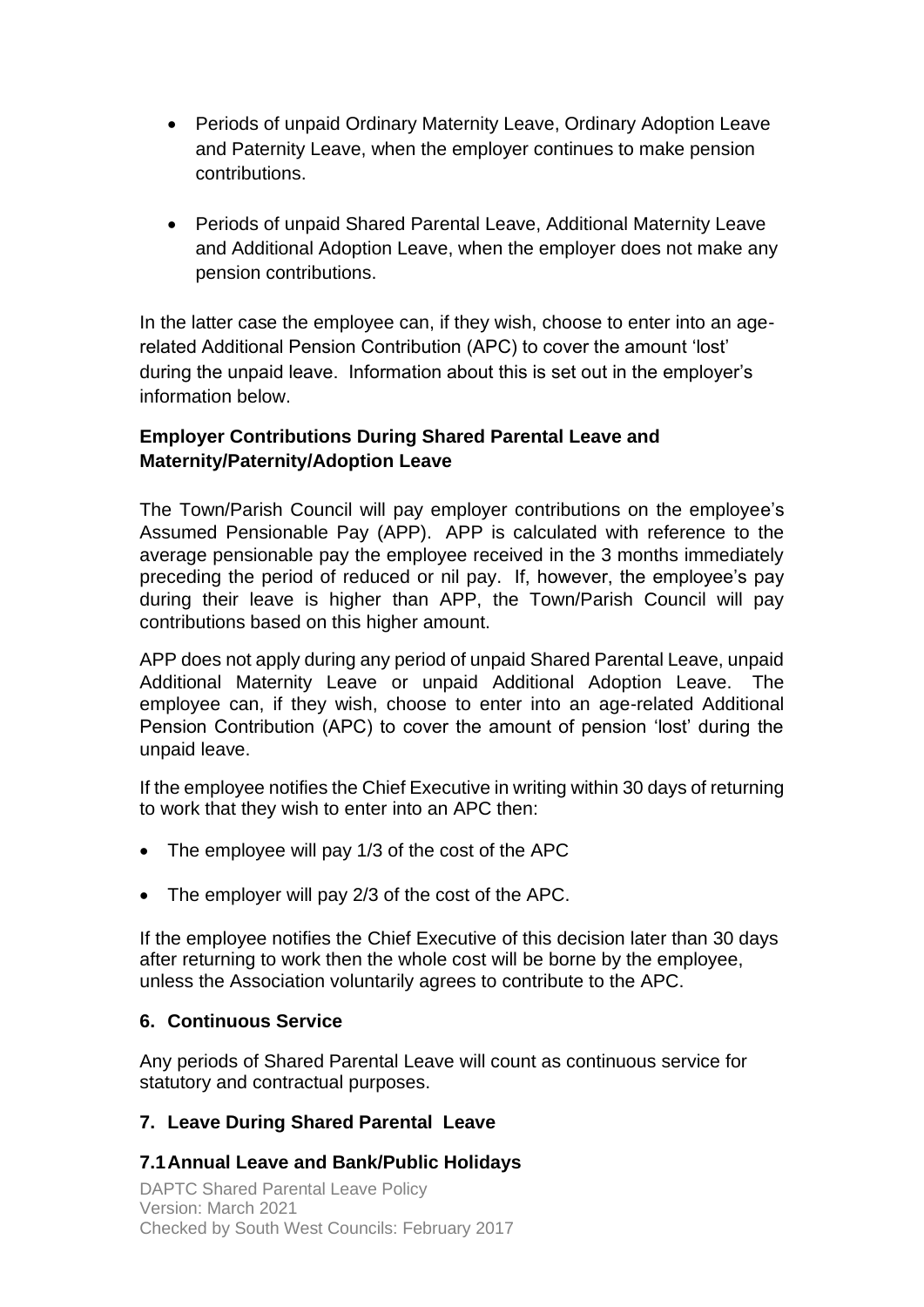- Periods of unpaid Ordinary Maternity Leave, Ordinary Adoption Leave and Paternity Leave, when the employer continues to make pension contributions.
- Periods of unpaid Shared Parental Leave, Additional Maternity Leave and Additional Adoption Leave, when the employer does not make any pension contributions.

In the latter case the employee can, if they wish, choose to enter into an agerelated Additional Pension Contribution (APC) to cover the amount 'lost' during the unpaid leave. Information about this is set out in the employer's information below.

#### **Employer Contributions During Shared Parental Leave and Maternity/Paternity/Adoption Leave**

The Town/Parish Council will pay employer contributions on the employee's Assumed Pensionable Pay (APP). APP is calculated with reference to the average pensionable pay the employee received in the 3 months immediately preceding the period of reduced or nil pay. If, however, the employee's pay during their leave is higher than APP, the Town/Parish Council will pay contributions based on this higher amount.

APP does not apply during any period of unpaid Shared Parental Leave, unpaid Additional Maternity Leave or unpaid Additional Adoption Leave. The employee can, if they wish, choose to enter into an age-related Additional Pension Contribution (APC) to cover the amount of pension 'lost' during the unpaid leave.

If the employee notifies the Chief Executive in writing within 30 days of returning to work that they wish to enter into an APC then:

- The employee will pay 1/3 of the cost of the APC
- The employer will pay 2/3 of the cost of the APC.

If the employee notifies the Chief Executive of this decision later than 30 days after returning to work then the whole cost will be borne by the employee, unless the Association voluntarily agrees to contribute to the APC.

### **6. Continuous Service**

Any periods of Shared Parental Leave will count as continuous service for statutory and contractual purposes.

### **7. Leave During Shared Parental Leave**

### **7.1Annual Leave and Bank/Public Holidays**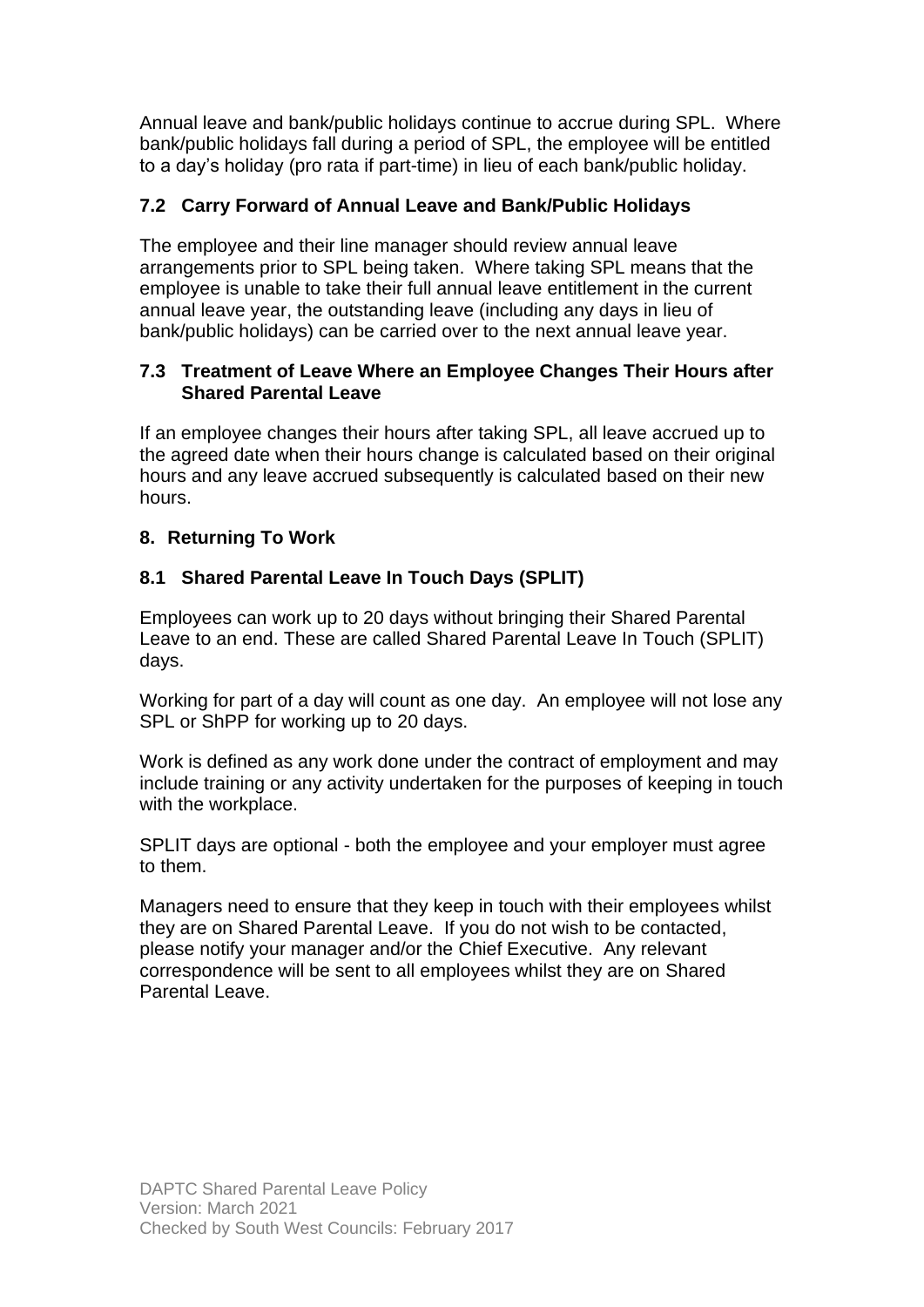Annual leave and bank/public holidays continue to accrue during SPL. Where bank/public holidays fall during a period of SPL, the employee will be entitled to a day's holiday (pro rata if part-time) in lieu of each bank/public holiday.

### **7.2 Carry Forward of Annual Leave and Bank/Public Holidays**

The employee and their line manager should review annual leave arrangements prior to SPL being taken. Where taking SPL means that the employee is unable to take their full annual leave entitlement in the current annual leave year, the outstanding leave (including any days in lieu of bank/public holidays) can be carried over to the next annual leave year.

#### **7.3 Treatment of Leave Where an Employee Changes Their Hours after Shared Parental Leave**

If an employee changes their hours after taking SPL, all leave accrued up to the agreed date when their hours change is calculated based on their original hours and any leave accrued subsequently is calculated based on their new hours.

#### **8. Returning To Work**

#### **8.1 Shared Parental Leave In Touch Days (SPLIT)**

Employees can work up to 20 days without bringing their Shared Parental Leave to an end. These are called Shared Parental Leave In Touch (SPLIT) days.

Working for part of a day will count as one day. An employee will not lose any SPL or ShPP for working up to 20 days.

Work is defined as any work done under the contract of employment and may include training or any activity undertaken for the purposes of keeping in touch with the workplace.

SPLIT days are optional - both the employee and your employer must agree to them.

Managers need to ensure that they keep in touch with their employees whilst they are on Shared Parental Leave. If you do not wish to be contacted, please notify your manager and/or the Chief Executive. Any relevant correspondence will be sent to all employees whilst they are on Shared Parental Leave.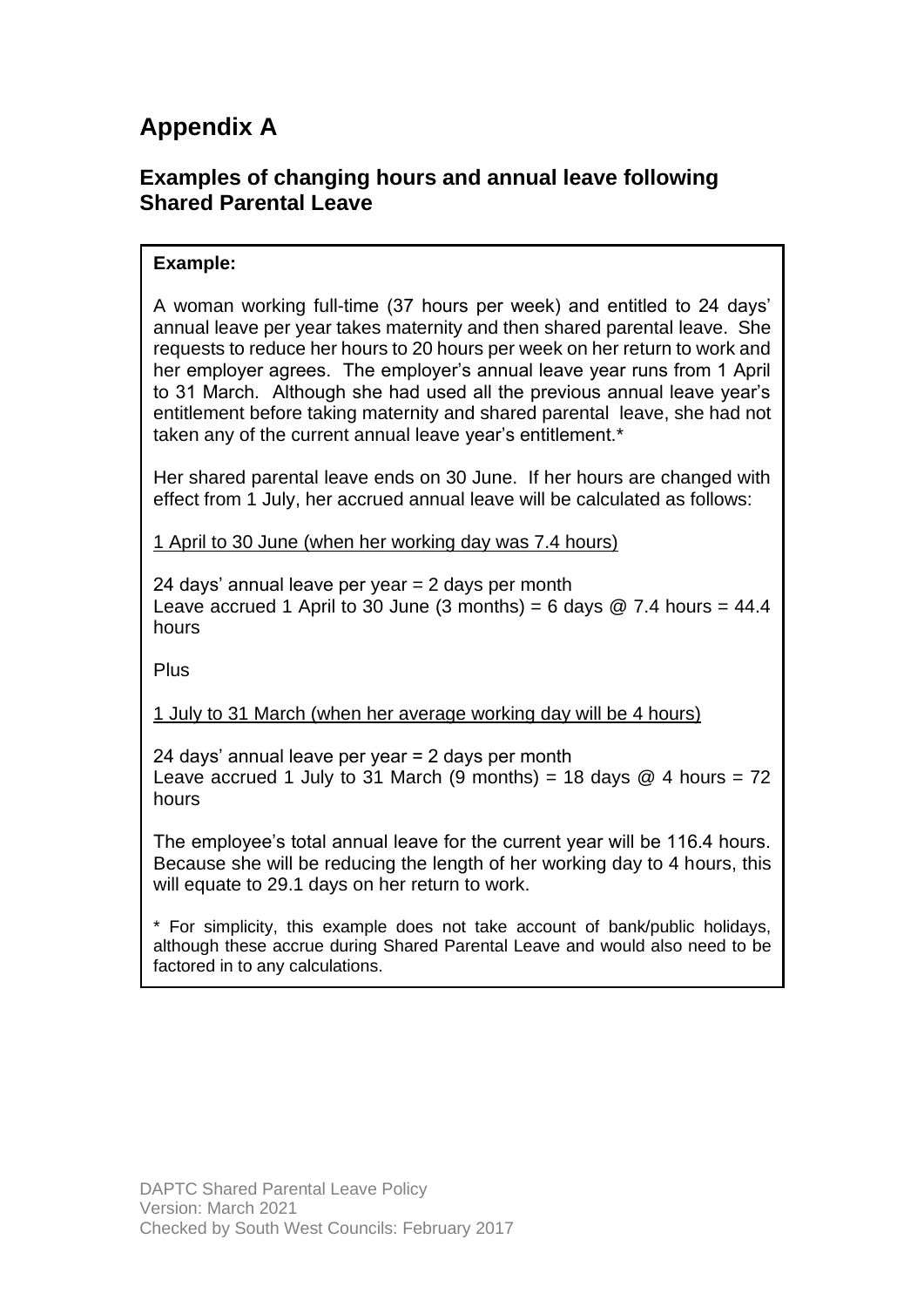# **Appendix A**

# **Examples of changing hours and annual leave following Shared Parental Leave**

### **Example:**

A woman working full-time (37 hours per week) and entitled to 24 days' annual leave per year takes maternity and then shared parental leave. She requests to reduce her hours to 20 hours per week on her return to work and her employer agrees. The employer's annual leave year runs from 1 April to 31 March. Although she had used all the previous annual leave year's entitlement before taking maternity and shared parental leave, she had not taken any of the current annual leave year's entitlement.\*

Her shared parental leave ends on 30 June. If her hours are changed with effect from 1 July, her accrued annual leave will be calculated as follows:

1 April to 30 June (when her working day was 7.4 hours)

24 days' annual leave per year  $= 2$  days per month Leave accrued 1 April to 30 June (3 months) = 6 days  $\omega$  7.4 hours = 44.4 hours

Plus

1 July to 31 March (when her average working day will be 4 hours)

24 days' annual leave per year = 2 days per month Leave accrued 1 July to 31 March (9 months) = 18 days  $@$  4 hours = 72 hours

The employee's total annual leave for the current year will be 116.4 hours. Because she will be reducing the length of her working day to 4 hours, this will equate to 29.1 days on her return to work.

\* For simplicity, this example does not take account of bank/public holidays, although these accrue during Shared Parental Leave and would also need to be factored in to any calculations.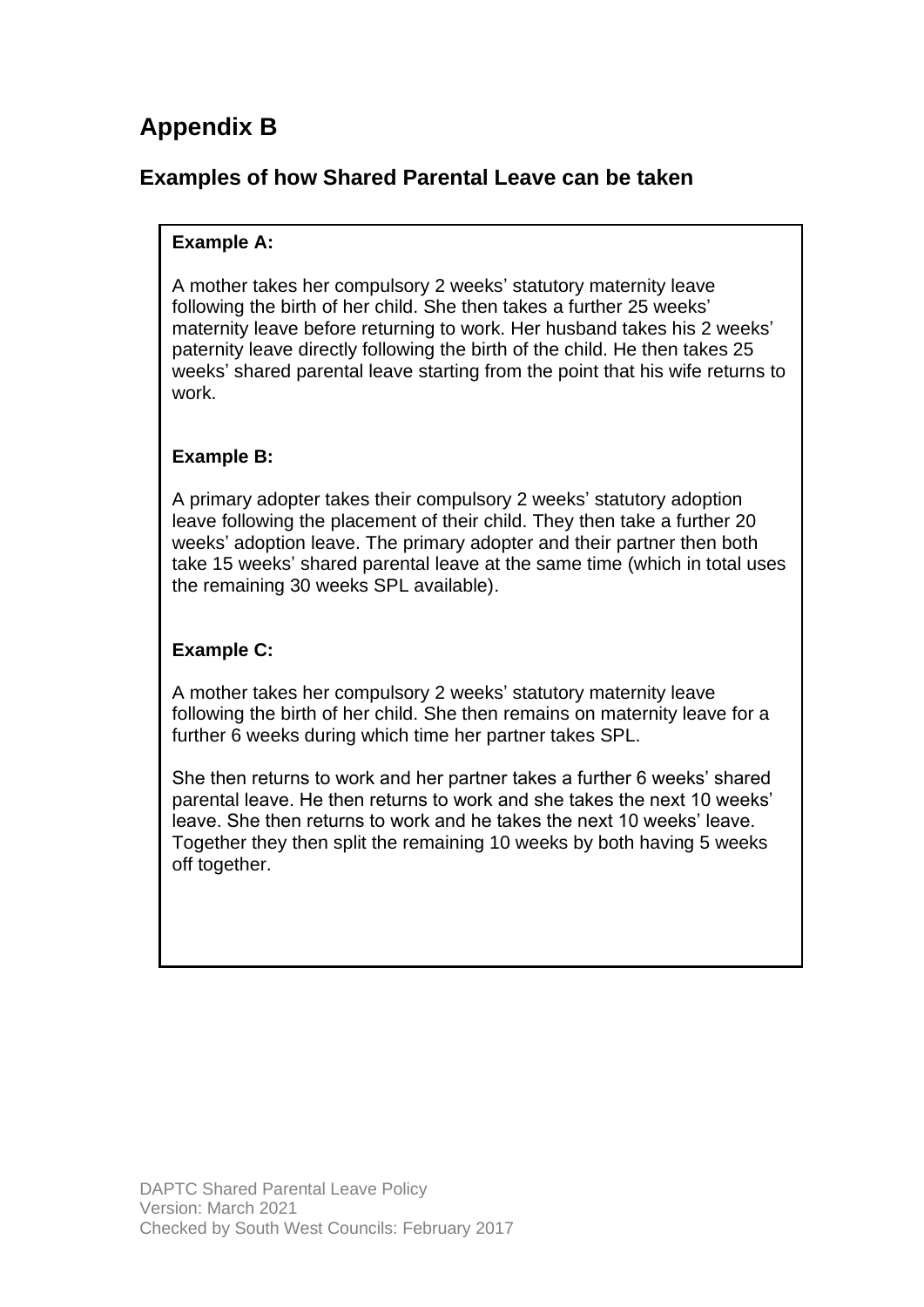# **Appendix B**

# **Examples of how Shared Parental Leave can be taken**

### **Example A:**

A mother takes her compulsory 2 weeks' statutory maternity leave following the birth of her child. She then takes a further 25 weeks' maternity leave before returning to work. Her husband takes his 2 weeks' paternity leave directly following the birth of the child. He then takes 25 weeks' shared parental leave starting from the point that his wife returns to work.

#### **Example B:**

A primary adopter takes their compulsory 2 weeks' statutory adoption leave following the placement of their child. They then take a further 20 weeks' adoption leave. The primary adopter and their partner then both take 15 weeks' shared parental leave at the same time (which in total uses the remaining 30 weeks SPL available).

#### **Example C:**

A mother takes her compulsory 2 weeks' statutory maternity leave following the birth of her child. She then remains on maternity leave for a further 6 weeks during which time her partner takes SPL.

She then returns to work and her partner takes a further 6 weeks' shared parental leave. He then returns to work and she takes the next 10 weeks' leave. She then returns to work and he takes the next 10 weeks' leave. Together they then split the remaining 10 weeks by both having 5 weeks off together.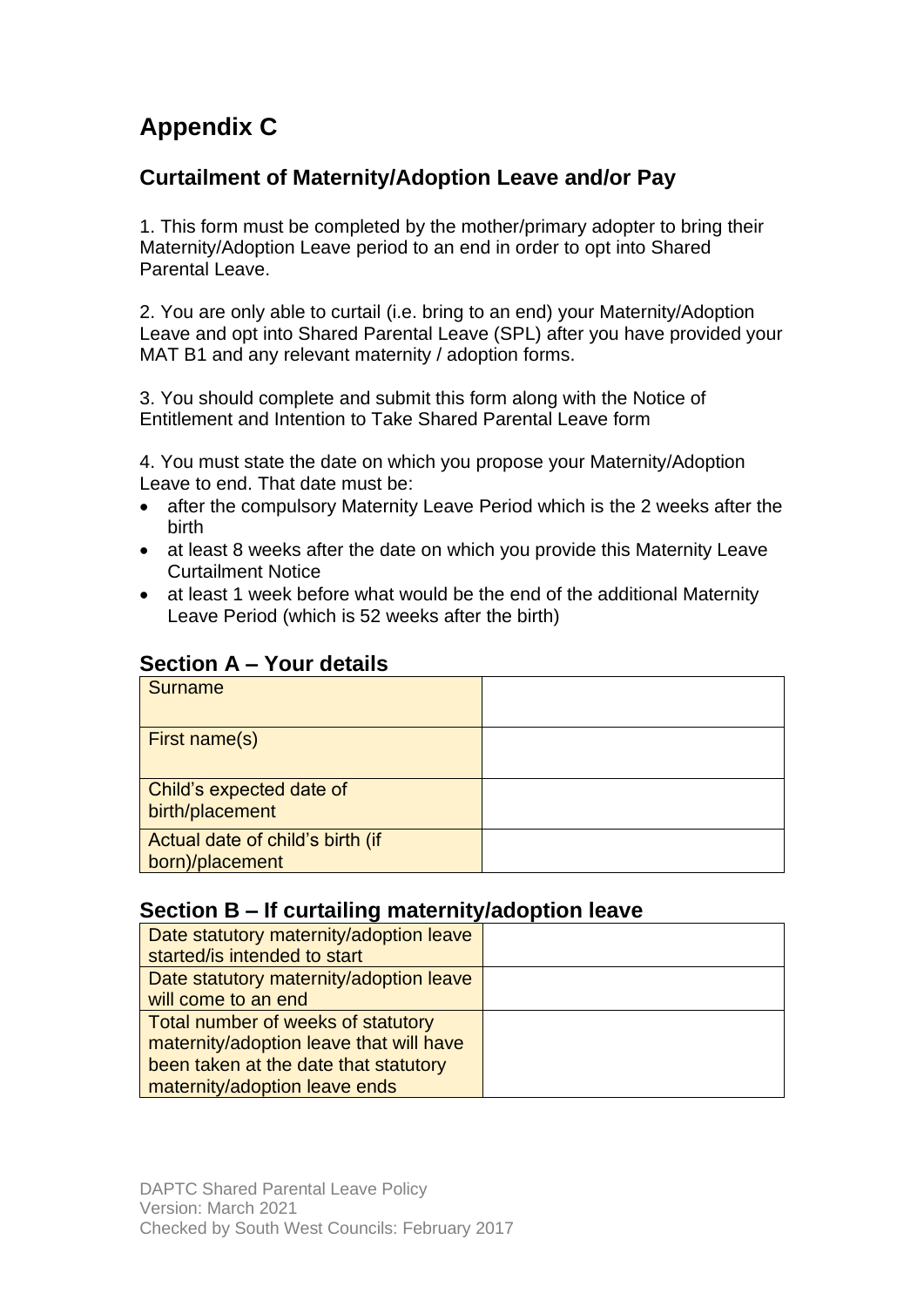# **Appendix C**

# **Curtailment of Maternity/Adoption Leave and/or Pay**

1. This form must be completed by the mother/primary adopter to bring their Maternity/Adoption Leave period to an end in order to opt into Shared Parental Leave

2. You are only able to curtail (i.e. bring to an end) your Maternity/Adoption Leave and opt into Shared Parental Leave (SPL) after you have provided your MAT B1 and any relevant maternity / adoption forms.

3. You should complete and submit this form along with the Notice of Entitlement and Intention to Take Shared Parental Leave form

4. You must state the date on which you propose your Maternity/Adoption Leave to end. That date must be:

- after the compulsory Maternity Leave Period which is the 2 weeks after the birth
- at least 8 weeks after the date on which you provide this Maternity Leave Curtailment Notice
- at least 1 week before what would be the end of the additional Maternity Leave Period (which is 52 weeks after the birth)

### **Section A – Your details**

| <b>Surname</b>                                      |  |
|-----------------------------------------------------|--|
| First name(s)                                       |  |
| Child's expected date of<br>birth/placement         |  |
| Actual date of child's birth (if<br>born)/placement |  |

### **Section B – If curtailing maternity/adoption leave**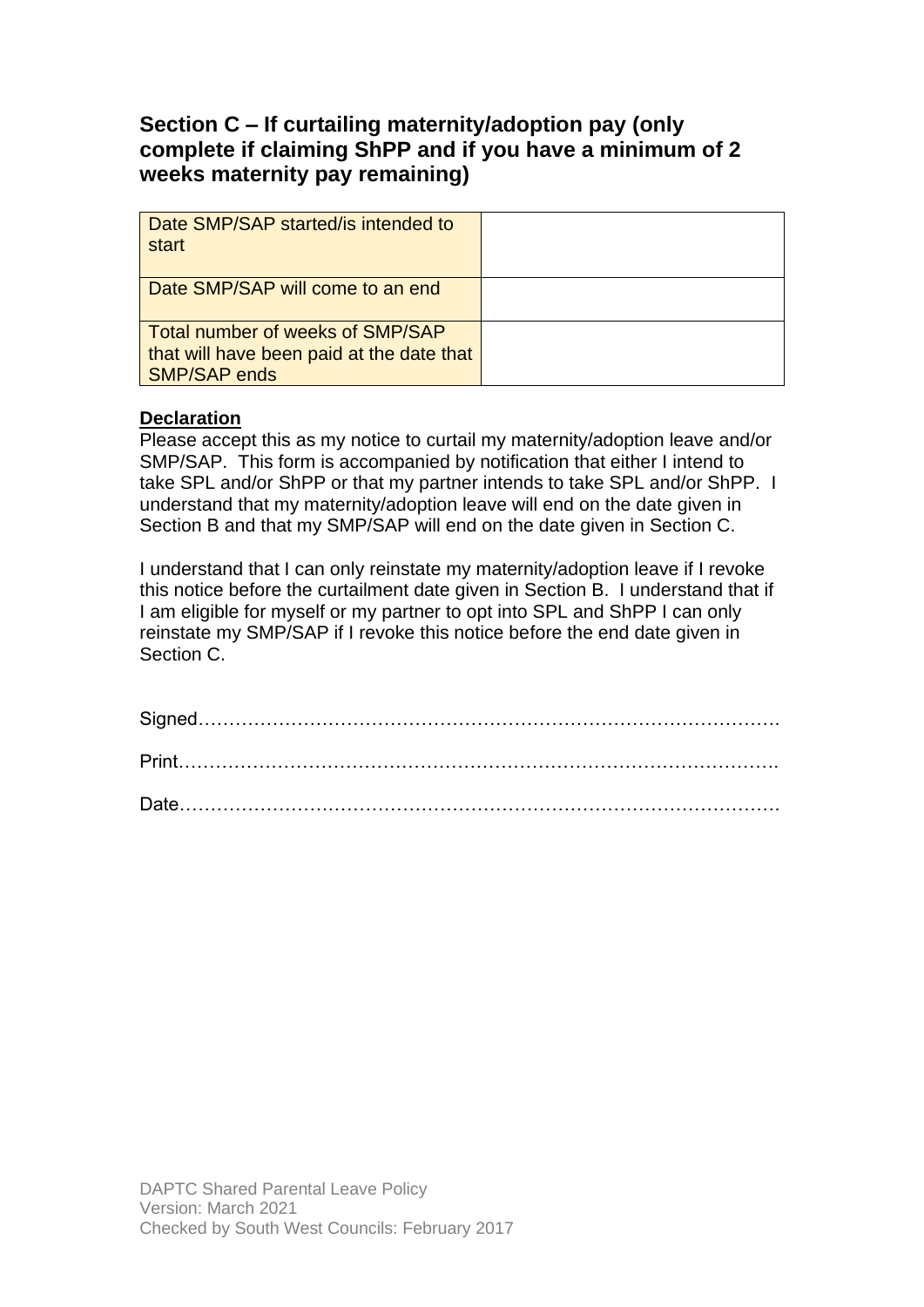# **Section C – If curtailing maternity/adoption pay (only complete if claiming ShPP and if you have a minimum of 2 weeks maternity pay remaining)**

| Date SMP/SAP started/is intended to<br>start                                                         |  |
|------------------------------------------------------------------------------------------------------|--|
| Date SMP/SAP will come to an end                                                                     |  |
| Total number of weeks of SMP/SAP<br>that will have been paid at the date that<br><b>SMP/SAP ends</b> |  |

#### **Declaration**

Please accept this as my notice to curtail my maternity/adoption leave and/or SMP/SAP. This form is accompanied by notification that either I intend to take SPL and/or ShPP or that my partner intends to take SPL and/or ShPP. I understand that my maternity/adoption leave will end on the date given in Section B and that my SMP/SAP will end on the date given in Section C.

I understand that I can only reinstate my maternity/adoption leave if I revoke this notice before the curtailment date given in Section B. I understand that if I am eligible for myself or my partner to opt into SPL and ShPP I can only reinstate my SMP/SAP if I revoke this notice before the end date given in Section C.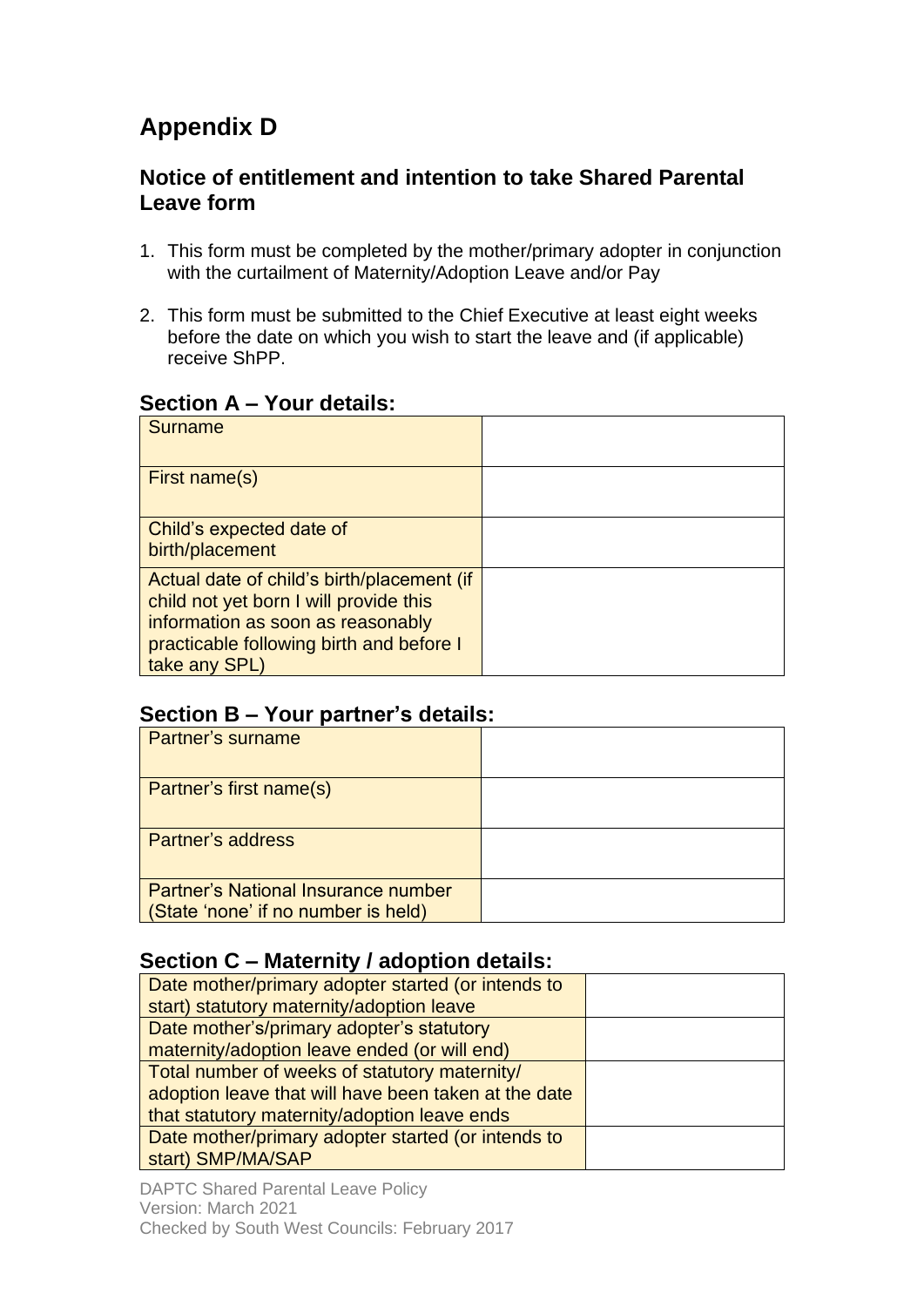# **Appendix D**

# **Notice of entitlement and intention to take Shared Parental Leave form**

- 1. This form must be completed by the mother/primary adopter in conjunction with the curtailment of Maternity/Adoption Leave and/or Pay
- 2. This form must be submitted to the Chief Executive at least eight weeks before the date on which you wish to start the leave and (if applicable) receive ShPP.

# **Section A – Your details:**

| Surname                                                                                                                                                                                |  |
|----------------------------------------------------------------------------------------------------------------------------------------------------------------------------------------|--|
| First name(s)                                                                                                                                                                          |  |
| Child's expected date of<br>birth/placement                                                                                                                                            |  |
| Actual date of child's birth/placement (if<br>child not yet born I will provide this<br>information as soon as reasonably<br>practicable following birth and before I<br>take any SPL) |  |

### **Section B – Your partner's details:**

| <b>Partner's surname</b>                                                          |  |
|-----------------------------------------------------------------------------------|--|
| Partner's first name(s)                                                           |  |
| <b>Partner's address</b>                                                          |  |
| <b>Partner's National Insurance number</b><br>(State 'none' if no number is held) |  |

# **Section C – Maternity / adoption details:**

| Date mother/primary adopter started (or intends to   |  |
|------------------------------------------------------|--|
| start) statutory maternity/adoption leave            |  |
| Date mother's/primary adopter's statutory            |  |
| maternity/adoption leave ended (or will end)         |  |
| Total number of weeks of statutory maternity/        |  |
| adoption leave that will have been taken at the date |  |
| that statutory maternity/adoption leave ends         |  |
| Date mother/primary adopter started (or intends to   |  |
| start) SMP/MA/SAP                                    |  |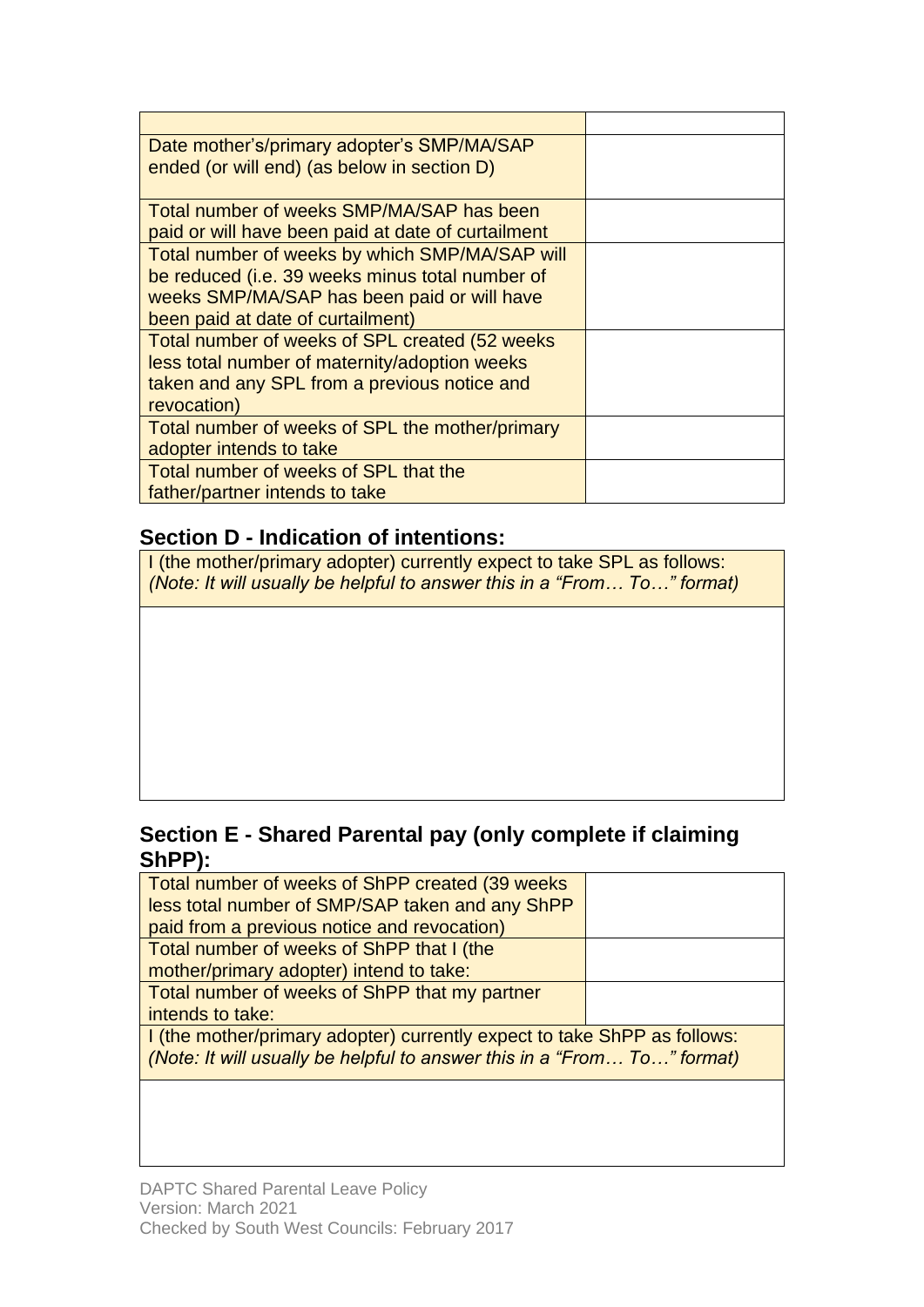| Date mother's/primary adopter's SMP/MA/SAP         |  |
|----------------------------------------------------|--|
| ended (or will end) (as below in section D)        |  |
|                                                    |  |
| Total number of weeks SMP/MA/SAP has been          |  |
| paid or will have been paid at date of curtailment |  |
| Total number of weeks by which SMP/MA/SAP will     |  |
| be reduced (i.e. 39 weeks minus total number of    |  |
| weeks SMP/MA/SAP has been paid or will have        |  |
| been paid at date of curtailment)                  |  |
| Total number of weeks of SPL created (52 weeks)    |  |
| less total number of maternity/adoption weeks      |  |
| taken and any SPL from a previous notice and       |  |
| revocation)                                        |  |
| Total number of weeks of SPL the mother/primary    |  |
| adopter intends to take                            |  |
| Total number of weeks of SPL that the              |  |
| father/partner intends to take                     |  |

# **Section D - Indication of intentions:**

I (the mother/primary adopter) currently expect to take SPL as follows: *(Note: It will usually be helpful to answer this in a "From… To…" format)*

# **Section E - Shared Parental pay (only complete if claiming ShPP):**

| Total number of weeks of ShPP created (39 weeks)                         |  |  |  |  |
|--------------------------------------------------------------------------|--|--|--|--|
| less total number of SMP/SAP taken and any ShPP                          |  |  |  |  |
| paid from a previous notice and revocation)                              |  |  |  |  |
| Total number of weeks of ShPP that I (the                                |  |  |  |  |
| mother/primary adopter) intend to take:                                  |  |  |  |  |
| Total number of weeks of ShPP that my partner                            |  |  |  |  |
| intends to take:                                                         |  |  |  |  |
| I (the mother/primary adopter) currently expect to take ShPP as follows: |  |  |  |  |
| (Note: It will usually be helpful to answer this in a "From To" format)  |  |  |  |  |
|                                                                          |  |  |  |  |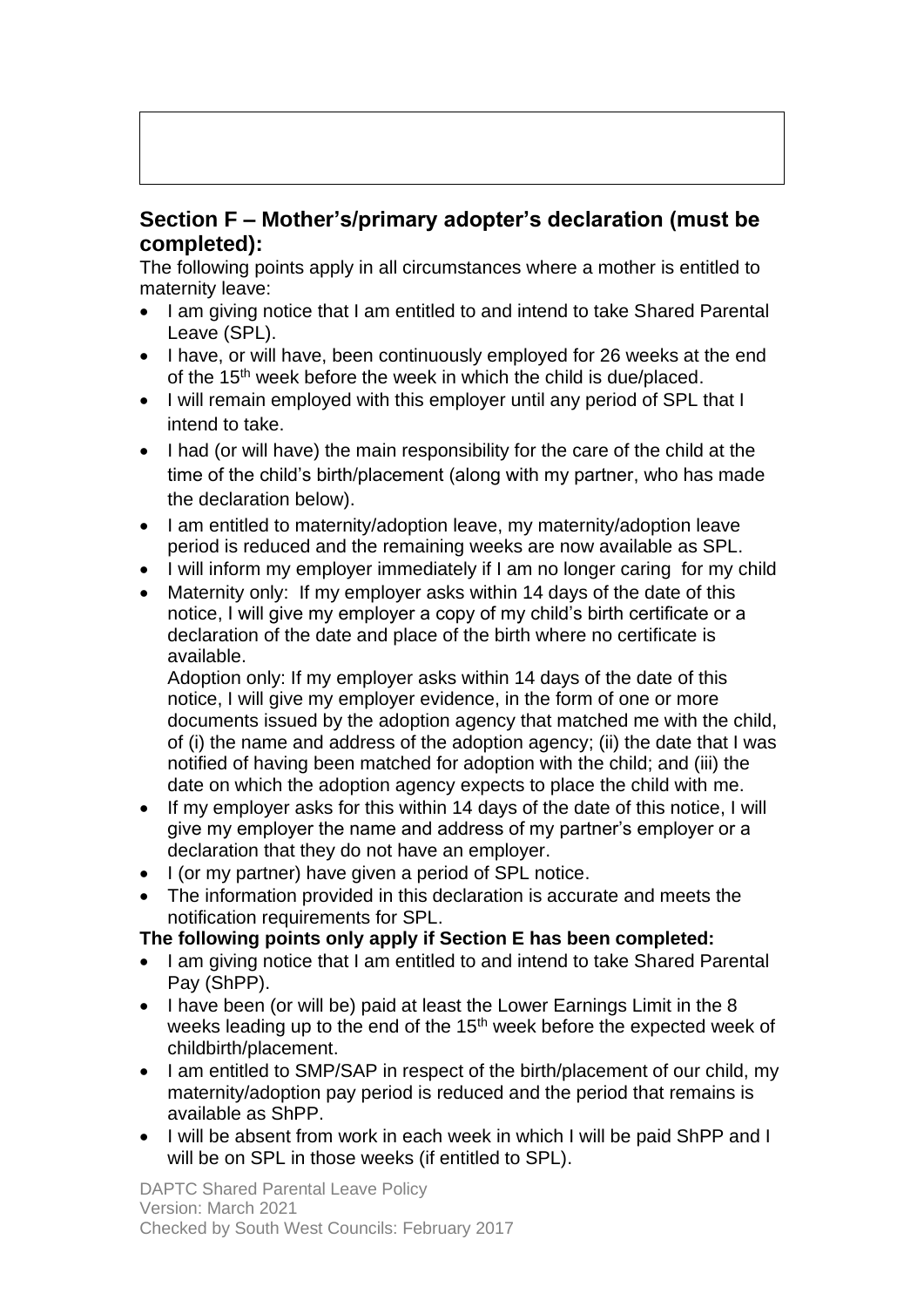# **Section F – Mother's/primary adopter's declaration (must be completed):**

The following points apply in all circumstances where a mother is entitled to maternity leave:

- I am giving notice that I am entitled to and intend to take Shared Parental Leave (SPL).
- I have, or will have, been continuously employed for 26 weeks at the end of the 15<sup>th</sup> week before the week in which the child is due/placed.
- I will remain employed with this employer until any period of SPL that I intend to take.
- I had (or will have) the main responsibility for the care of the child at the time of the child's birth/placement (along with my partner, who has made the declaration below).
- I am entitled to maternity/adoption leave, my maternity/adoption leave period is reduced and the remaining weeks are now available as SPL.
- I will inform my employer immediately if I am no longer caring for my child
- Maternity only: If my employer asks within 14 days of the date of this notice, I will give my employer a copy of my child's birth certificate or a declaration of the date and place of the birth where no certificate is available.

Adoption only: If my employer asks within 14 days of the date of this notice, I will give my employer evidence, in the form of one or more documents issued by the adoption agency that matched me with the child, of (i) the name and address of the adoption agency; (ii) the date that I was notified of having been matched for adoption with the child; and (iii) the date on which the adoption agency expects to place the child with me.

- If my employer asks for this within 14 days of the date of this notice, I will give my employer the name and address of my partner's employer or a declaration that they do not have an employer.
- I (or my partner) have given a period of SPL notice.
- The information provided in this declaration is accurate and meets the notification requirements for SPL.

#### **The following points only apply if Section E has been completed:**

- I am giving notice that I am entitled to and intend to take Shared Parental Pay (ShPP).
- I have been (or will be) paid at least the Lower Earnings Limit in the 8 weeks leading up to the end of the  $15<sup>th</sup>$  week before the expected week of childbirth/placement.
- I am entitled to SMP/SAP in respect of the birth/placement of our child, my maternity/adoption pay period is reduced and the period that remains is available as ShPP.
- I will be absent from work in each week in which I will be paid ShPP and I will be on SPL in those weeks (if entitled to SPL).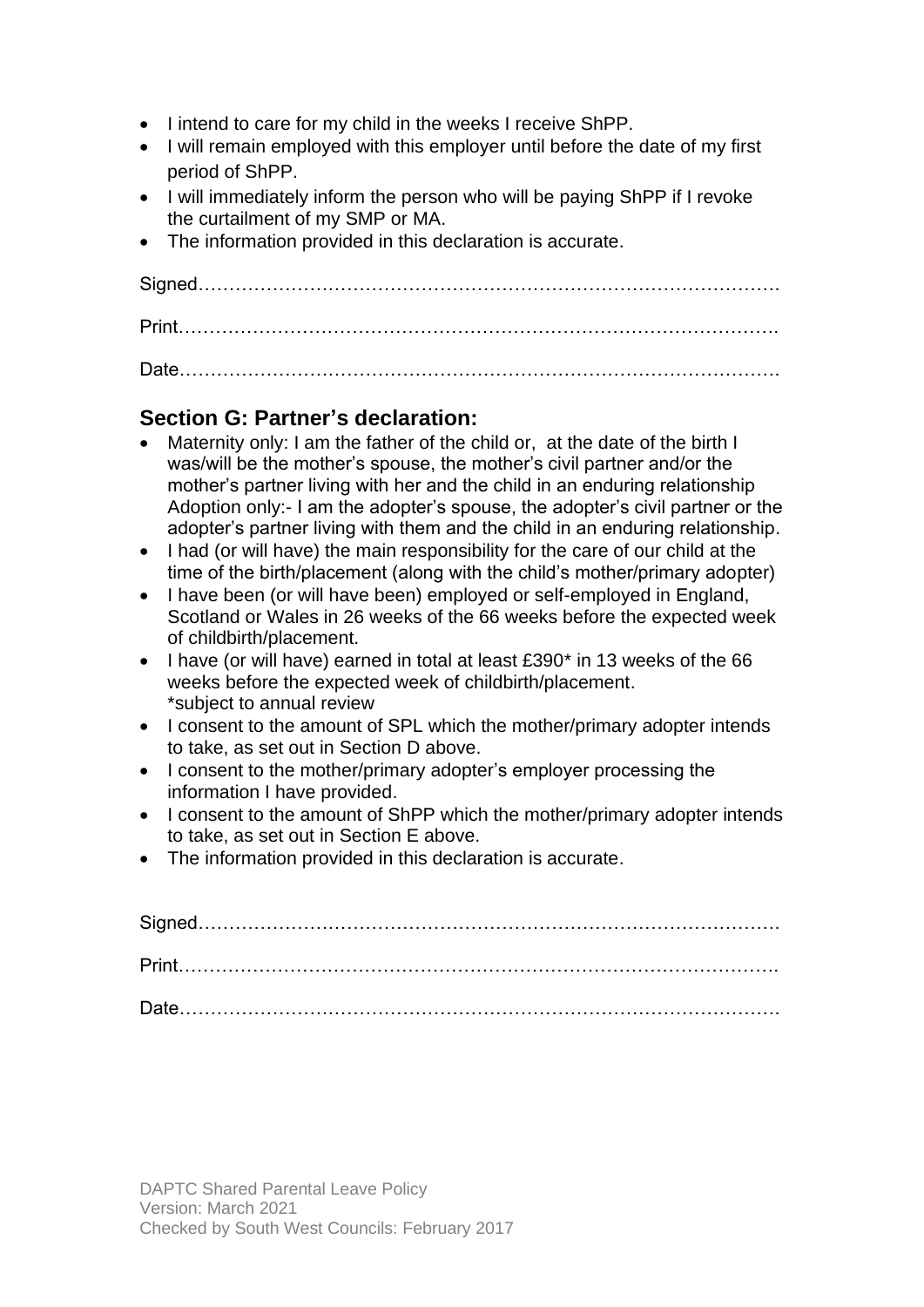- I intend to care for my child in the weeks I receive ShPP.
- I will remain employed with this employer until before the date of my first period of ShPP.
- I will immediately inform the person who will be paying ShPP if I revoke the curtailment of my SMP or MA.
- The information provided in this declaration is accurate.

# **Section G: Partner's declaration:**

- Maternity only: I am the father of the child or, at the date of the birth I was/will be the mother's spouse, the mother's civil partner and/or the mother's partner living with her and the child in an enduring relationship Adoption only:- I am the adopter's spouse, the adopter's civil partner or the adopter's partner living with them and the child in an enduring relationship.
- I had (or will have) the main responsibility for the care of our child at the time of the birth/placement (along with the child's mother/primary adopter)
- I have been (or will have been) employed or self-employed in England, Scotland or Wales in 26 weeks of the 66 weeks before the expected week of childbirth/placement.
- I have (or will have) earned in total at least £390\* in 13 weeks of the 66 weeks before the expected week of childbirth/placement. \*subject to annual review
- I consent to the amount of SPL which the mother/primary adopter intends to take, as set out in Section D above.
- I consent to the mother/primary adopter's employer processing the information I have provided.
- I consent to the amount of ShPP which the mother/primary adopter intends to take, as set out in Section E above.
- The information provided in this declaration is accurate.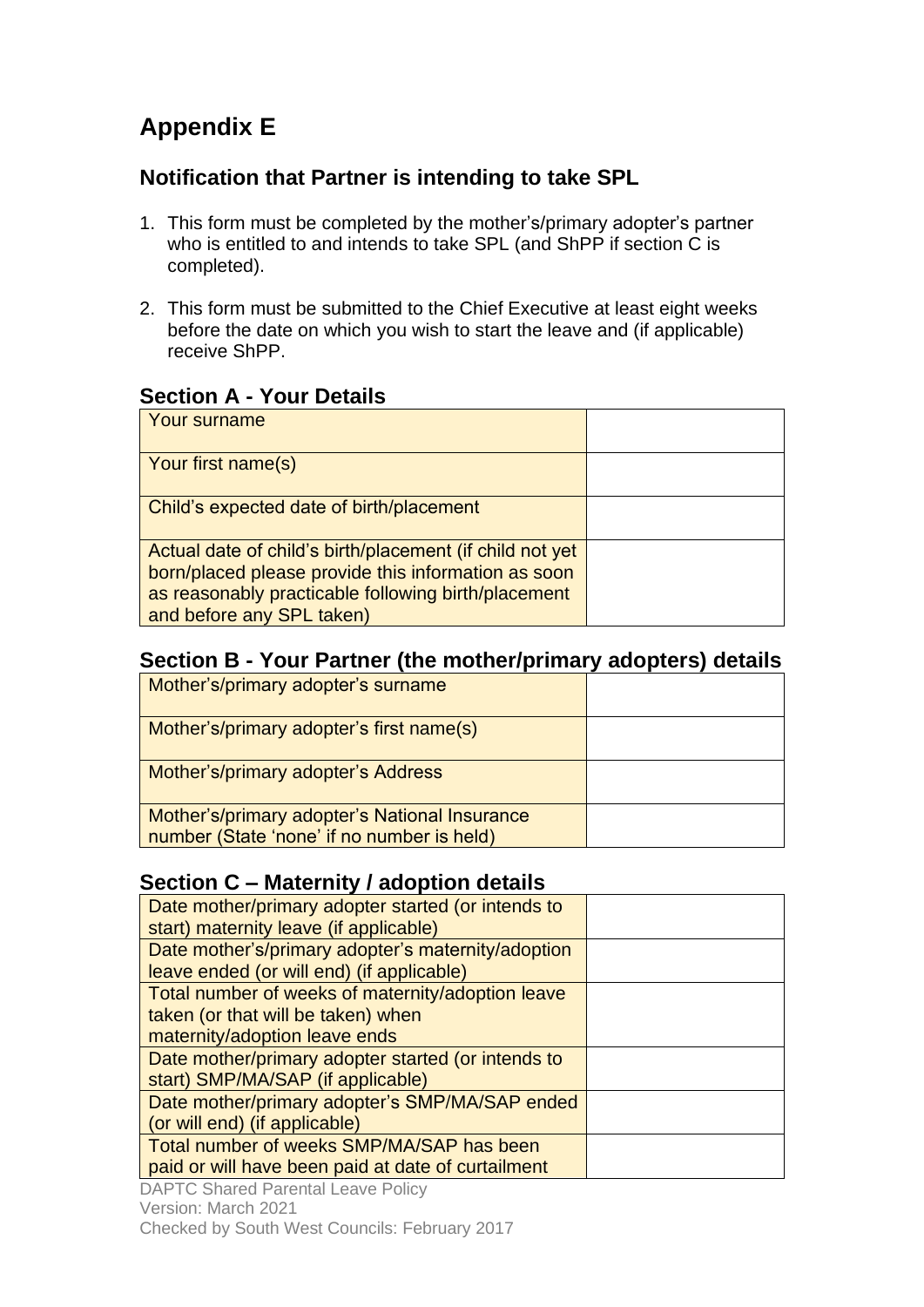# **Appendix E**

# **Notification that Partner is intending to take SPL**

- 1. This form must be completed by the mother's/primary adopter's partner who is entitled to and intends to take SPL (and ShPP if section C is completed).
- 2. This form must be submitted to the Chief Executive at least eight weeks before the date on which you wish to start the leave and (if applicable) receive ShPP.

# **Section A - Your Details**

| Your surname                                                                                                                                                                                        |  |
|-----------------------------------------------------------------------------------------------------------------------------------------------------------------------------------------------------|--|
| <b>Your first name(s)</b>                                                                                                                                                                           |  |
| Child's expected date of birth/placement                                                                                                                                                            |  |
| Actual date of child's birth/placement (if child not yet<br>born/placed please provide this information as soon<br>as reasonably practicable following birth/placement<br>and before any SPL taken) |  |

# **Section B - Your Partner (the mother/primary adopters) details**

| Mother's/primary adopter's surname                                                          |  |
|---------------------------------------------------------------------------------------------|--|
| Mother's/primary adopter's first name(s)                                                    |  |
| Mother's/primary adopter's Address                                                          |  |
| Mother's/primary adopter's National Insurance<br>number (State 'none' if no number is held) |  |

# **Section C – Maternity / adoption details**

| Date mother/primary adopter started (or intends to<br>start) maternity leave (if applicable)                             |  |
|--------------------------------------------------------------------------------------------------------------------------|--|
| Date mother's/primary adopter's maternity/adoption<br>leave ended (or will end) (if applicable)                          |  |
| Total number of weeks of maternity/adoption leave<br>taken (or that will be taken) when<br>maternity/adoption leave ends |  |
| Date mother/primary adopter started (or intends to<br>start) SMP/MA/SAP (if applicable)                                  |  |
| Date mother/primary adopter's SMP/MA/SAP ended<br>(or will end) (if applicable)                                          |  |
| Total number of weeks SMP/MA/SAP has been<br>paid or will have been paid at date of curtailment                          |  |

DAPTC Shared Parental Leave Policy

Version: March 2021

Checked by South West Councils: February 2017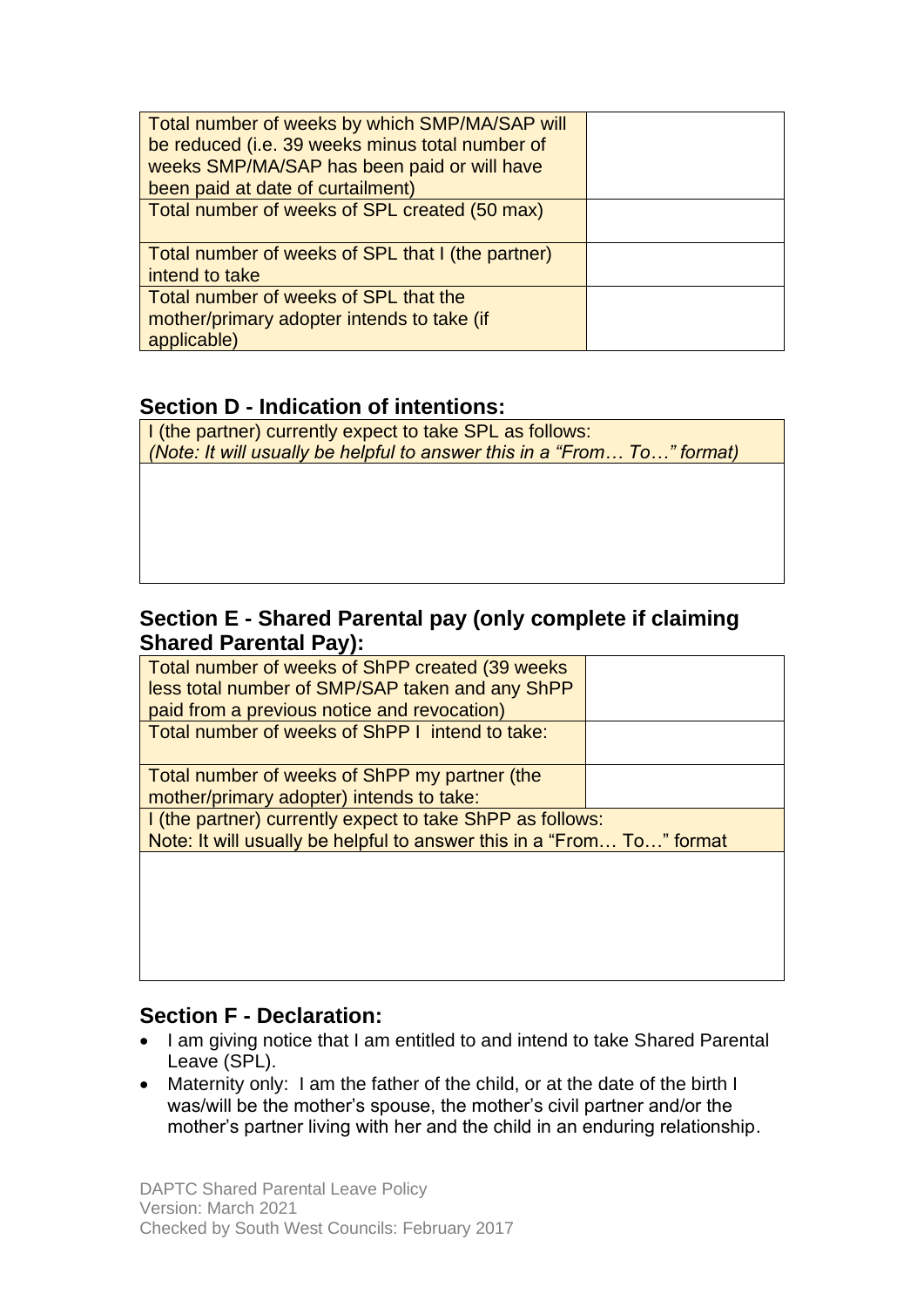| Total number of weeks by which SMP/MA/SAP will<br>be reduced (i.e. 39 weeks minus total number of |  |
|---------------------------------------------------------------------------------------------------|--|
| weeks SMP/MA/SAP has been paid or will have                                                       |  |
| been paid at date of curtailment)                                                                 |  |
| Total number of weeks of SPL created (50 max)                                                     |  |
| Total number of weeks of SPL that I (the partner)                                                 |  |
| intend to take                                                                                    |  |
| Total number of weeks of SPL that the                                                             |  |
| mother/primary adopter intends to take (if                                                        |  |
| applicable)                                                                                       |  |

# **Section D - Indication of intentions:**

I (the partner) currently expect to take SPL as follows: *(Note: It will usually be helpful to answer this in a "From… To…" format)*

# **Section E - Shared Parental pay (only complete if claiming Shared Parental Pay):**

| Total number of weeks of ShPP created (39 weeks                       |  |
|-----------------------------------------------------------------------|--|
| less total number of SMP/SAP taken and any ShPP                       |  |
| paid from a previous notice and revocation)                           |  |
| Total number of weeks of ShPP I intend to take:                       |  |
|                                                                       |  |
| Total number of weeks of ShPP my partner (the                         |  |
| mother/primary adopter) intends to take:                              |  |
| I (the partner) currently expect to take ShPP as follows:             |  |
| Note: It will usually be helpful to answer this in a "From To" format |  |
|                                                                       |  |
|                                                                       |  |
|                                                                       |  |

# **Section F - Declaration:**

- I am giving notice that I am entitled to and intend to take Shared Parental Leave (SPL).
- Maternity only: I am the father of the child, or at the date of the birth I was/will be the mother's spouse, the mother's civil partner and/or the mother's partner living with her and the child in an enduring relationship.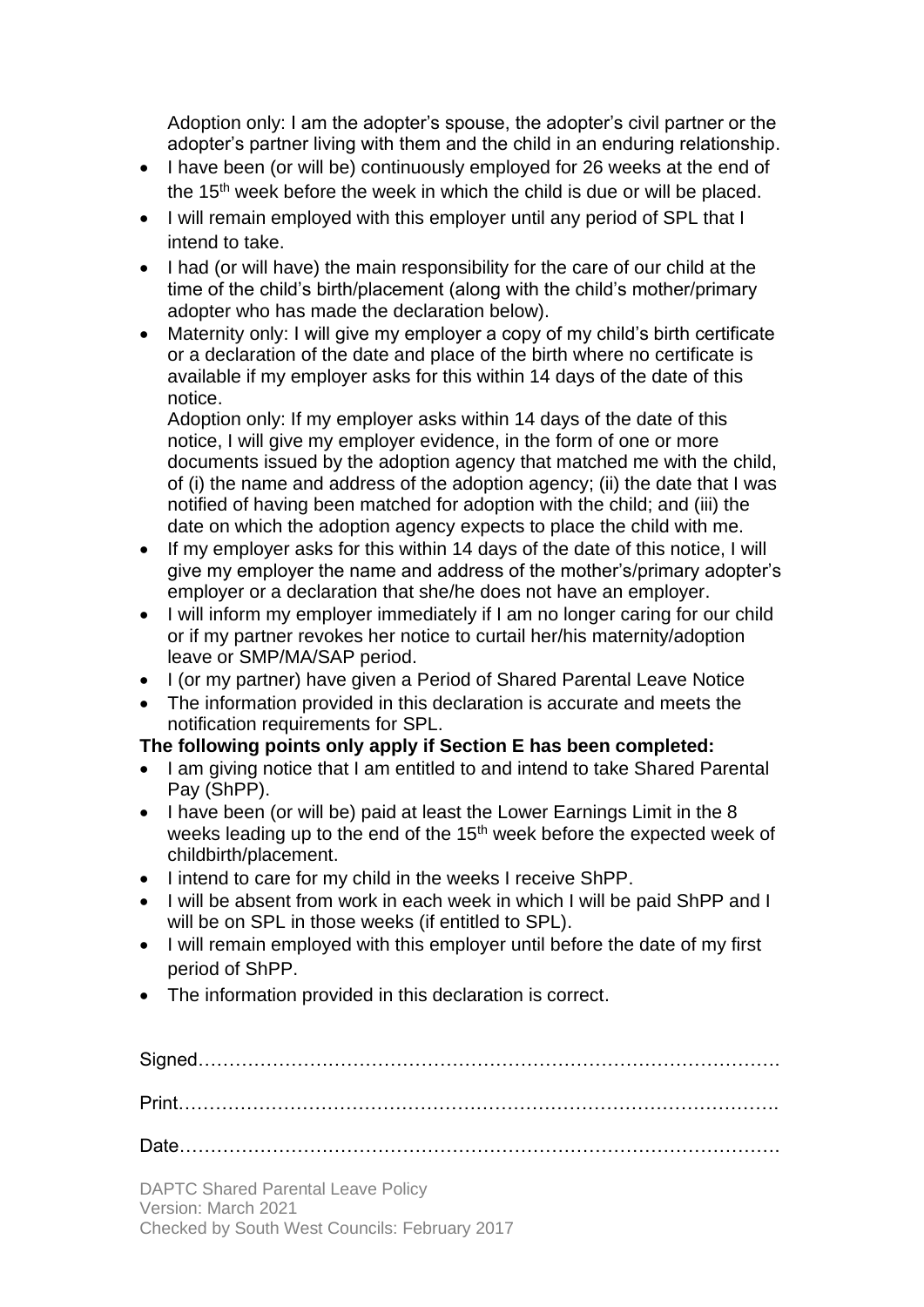Adoption only: I am the adopter's spouse, the adopter's civil partner or the adopter's partner living with them and the child in an enduring relationship.

- I have been (or will be) continuously employed for 26 weeks at the end of the 15<sup>th</sup> week before the week in which the child is due or will be placed.
- I will remain employed with this employer until any period of SPL that I intend to take.
- I had (or will have) the main responsibility for the care of our child at the time of the child's birth/placement (along with the child's mother/primary adopter who has made the declaration below).
- Maternity only: I will give my employer a copy of my child's birth certificate or a declaration of the date and place of the birth where no certificate is available if my employer asks for this within 14 days of the date of this notice.

Adoption only: If my employer asks within 14 days of the date of this notice, I will give my employer evidence, in the form of one or more documents issued by the adoption agency that matched me with the child, of (i) the name and address of the adoption agency; (ii) the date that I was notified of having been matched for adoption with the child; and (iii) the date on which the adoption agency expects to place the child with me.

- If my employer asks for this within 14 days of the date of this notice, I will give my employer the name and address of the mother's/primary adopter's employer or a declaration that she/he does not have an employer.
- I will inform my employer immediately if I am no longer caring for our child or if my partner revokes her notice to curtail her/his maternity/adoption leave or SMP/MA/SAP period.
- I (or my partner) have given a Period of Shared Parental Leave Notice
- The information provided in this declaration is accurate and meets the notification requirements for SPL.

### **The following points only apply if Section E has been completed:**

- I am giving notice that I am entitled to and intend to take Shared Parental Pay (ShPP).
- I have been (or will be) paid at least the Lower Earnings Limit in the 8 weeks leading up to the end of the 15<sup>th</sup> week before the expected week of childbirth/placement.
- I intend to care for my child in the weeks I receive ShPP.
- I will be absent from work in each week in which I will be paid ShPP and I will be on SPL in those weeks (if entitled to SPL).
- I will remain employed with this employer until before the date of my first period of ShPP.
- The information provided in this declaration is correct.

| <b>DAPTC Shared Parental Leave Policy</b><br>Version: March 2021 |  |
|------------------------------------------------------------------|--|

Checked by South West Councils: February 2017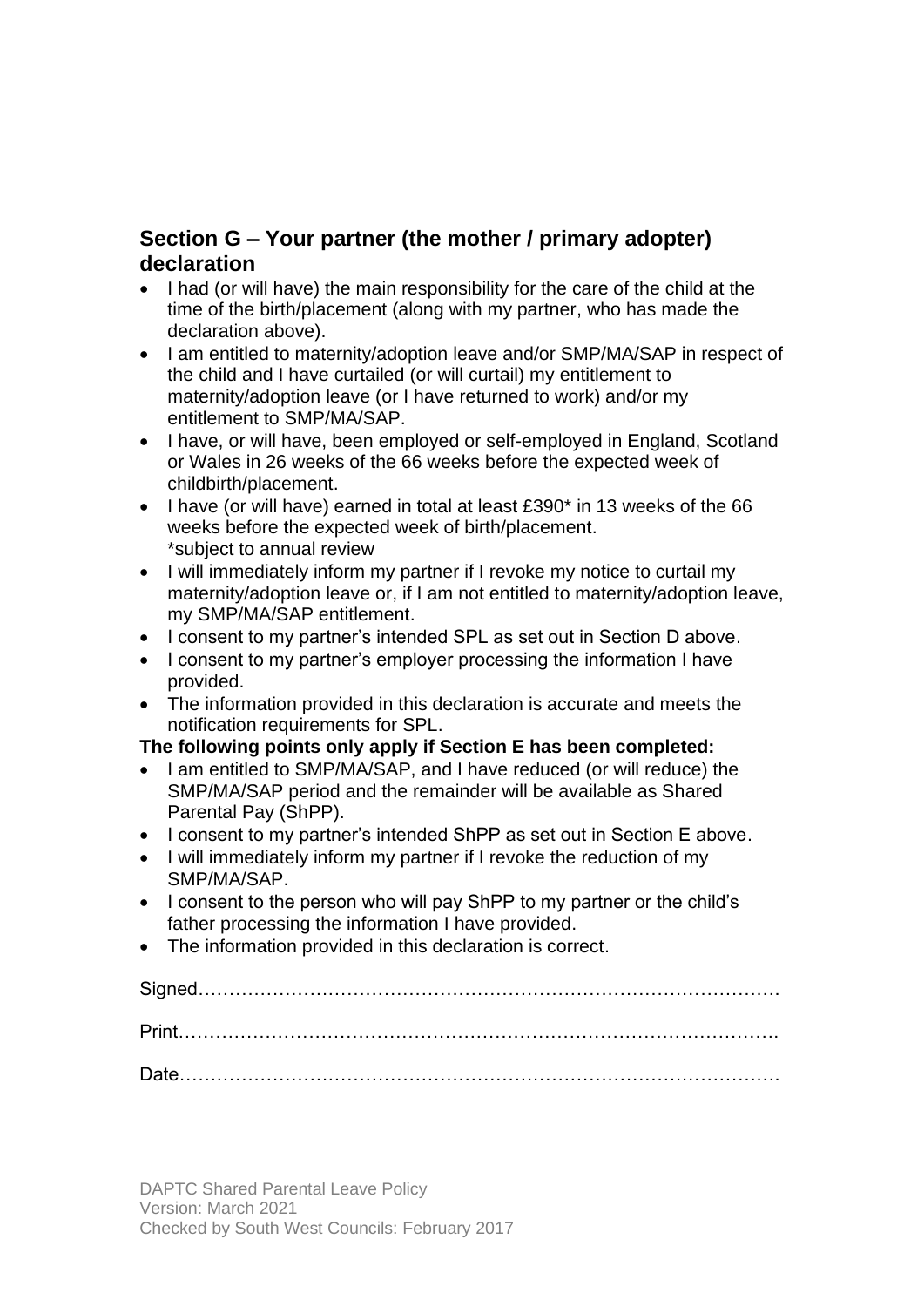# **Section G – Your partner (the mother / primary adopter) declaration**

- I had (or will have) the main responsibility for the care of the child at the time of the birth/placement (along with my partner, who has made the declaration above).
- I am entitled to maternity/adoption leave and/or SMP/MA/SAP in respect of the child and I have curtailed (or will curtail) my entitlement to maternity/adoption leave (or I have returned to work) and/or my entitlement to SMP/MA/SAP.
- I have, or will have, been employed or self-employed in England, Scotland or Wales in 26 weeks of the 66 weeks before the expected week of childbirth/placement.
- I have (or will have) earned in total at least £390\* in 13 weeks of the 66 weeks before the expected week of birth/placement. \*subject to annual review
- I will immediately inform my partner if I revoke my notice to curtail my maternity/adoption leave or, if I am not entitled to maternity/adoption leave, my SMP/MA/SAP entitlement.
- I consent to my partner's intended SPL as set out in Section D above.
- I consent to my partner's employer processing the information I have provided.
- The information provided in this declaration is accurate and meets the notification requirements for SPL.

### **The following points only apply if Section E has been completed:**

- I am entitled to SMP/MA/SAP, and I have reduced (or will reduce) the SMP/MA/SAP period and the remainder will be available as Shared Parental Pay (ShPP).
- I consent to my partner's intended ShPP as set out in Section E above.
- I will immediately inform my partner if I revoke the reduction of my SMP/MA/SAP.
- I consent to the person who will pay ShPP to my partner or the child's father processing the information I have provided.
- The information provided in this declaration is correct.

Signed…………………………………………………………………………………. Print……………………………………………………………………………………. Date…………………………………………………………………………………….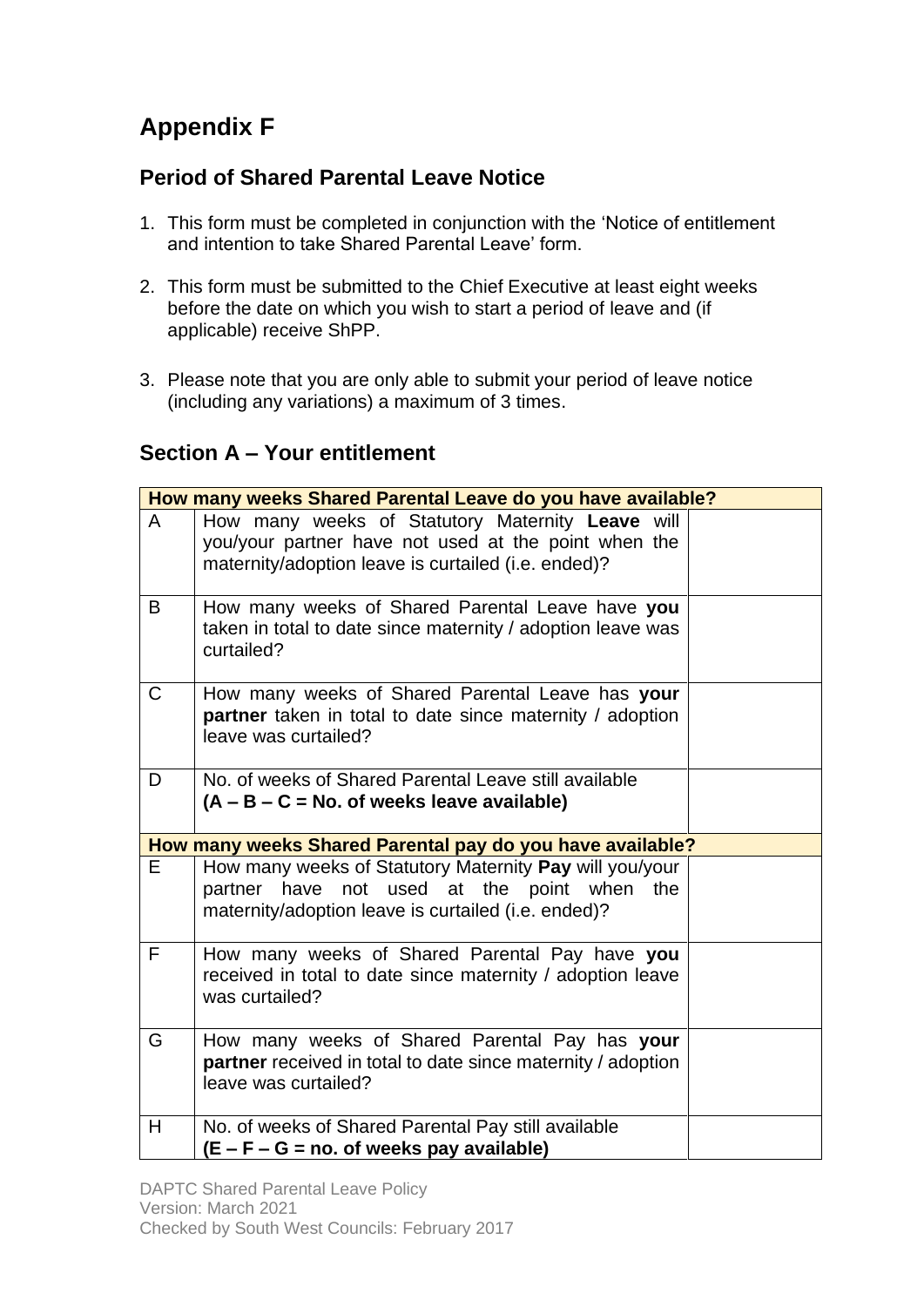# **Appendix F**

# **Period of Shared Parental Leave Notice**

- 1. This form must be completed in conjunction with the 'Notice of entitlement and intention to take Shared Parental Leave' form.
- 2. This form must be submitted to the Chief Executive at least eight weeks before the date on which you wish to start a period of leave and (if applicable) receive ShPP.
- 3. Please note that you are only able to submit your period of leave notice (including any variations) a maximum of 3 times.

# **Section A – Your entitlement**

|    | How many weeks Shared Parental Leave do you have available?                                                                                                     |  |  |  |
|----|-----------------------------------------------------------------------------------------------------------------------------------------------------------------|--|--|--|
| A  | How many weeks of Statutory Maternity Leave will<br>you/your partner have not used at the point when the<br>maternity/adoption leave is curtailed (i.e. ended)? |  |  |  |
| B  | How many weeks of Shared Parental Leave have you<br>taken in total to date since maternity / adoption leave was<br>curtailed?                                   |  |  |  |
| C  | How many weeks of Shared Parental Leave has your<br>partner taken in total to date since maternity / adoption<br>leave was curtailed?                           |  |  |  |
| D  | No. of weeks of Shared Parental Leave still available<br>$(A - B - C = No.$ of weeks leave available)                                                           |  |  |  |
|    | How many weeks Shared Parental pay do you have available?                                                                                                       |  |  |  |
| E. | How many weeks of Statutory Maternity Pay will you/your<br>partner have not used at the point when the<br>maternity/adoption leave is curtailed (i.e. ended)?   |  |  |  |
| F. | How many weeks of Shared Parental Pay have you<br>received in total to date since maternity / adoption leave<br>was curtailed?                                  |  |  |  |
| G  | How many weeks of Shared Parental Pay has your<br>partner received in total to date since maternity / adoption<br>leave was curtailed?                          |  |  |  |
| H  | No. of weeks of Shared Parental Pay still available<br>(E – F – G = no. of weeks pay available)                                                                 |  |  |  |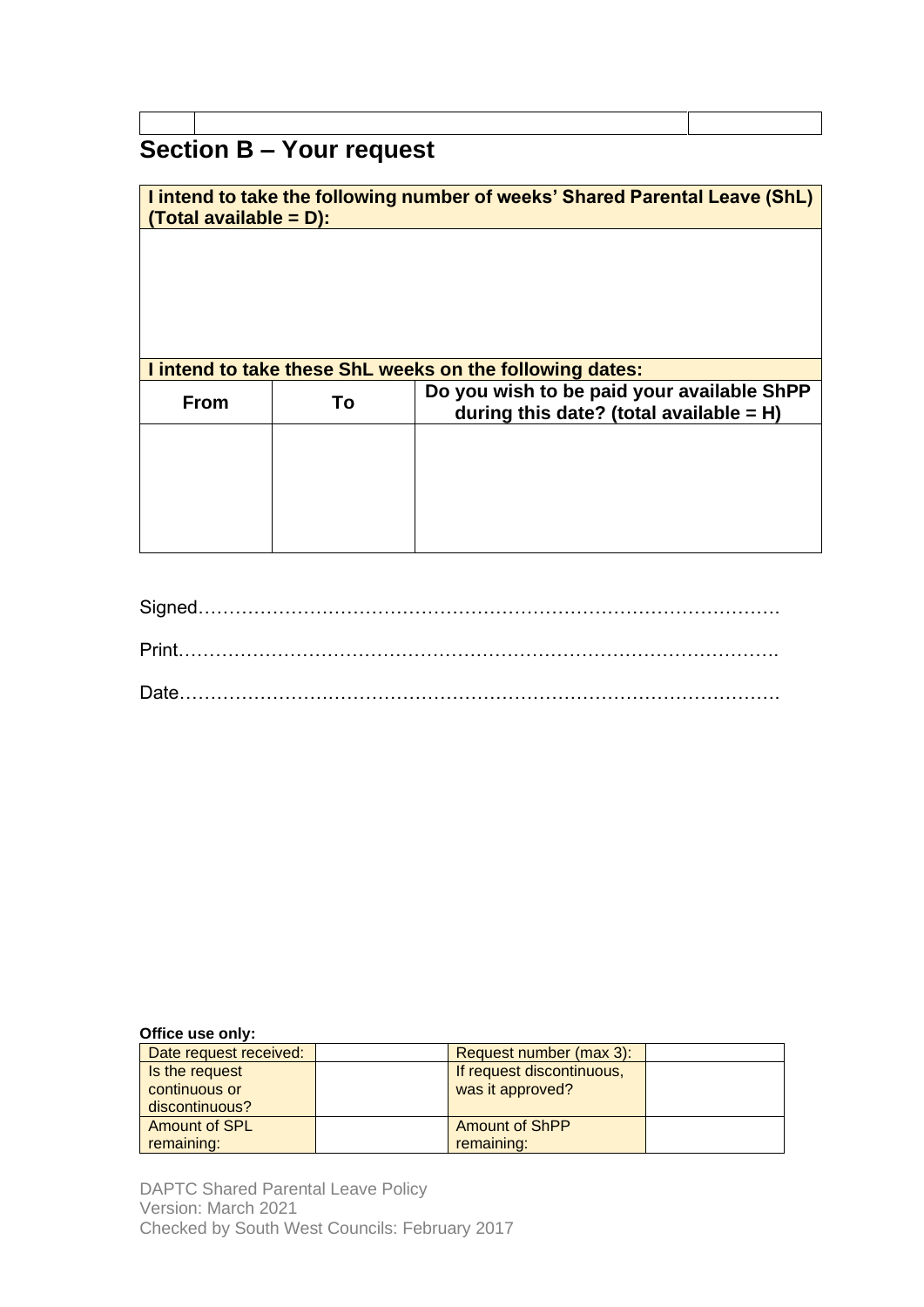# **Section B – Your request**

| <b>I intend to take the following number of weeks' Shared Parental Leave (ShL)</b><br><u> Total available = D):</u> |    |                                                                                         |  |
|---------------------------------------------------------------------------------------------------------------------|----|-----------------------------------------------------------------------------------------|--|
|                                                                                                                     |    |                                                                                         |  |
|                                                                                                                     |    |                                                                                         |  |
|                                                                                                                     |    |                                                                                         |  |
| I intend to take these ShL weeks on the following dates:                                                            |    |                                                                                         |  |
| <b>From</b>                                                                                                         | Τo | Do you wish to be paid your available ShPP<br>during this date? (total available $=$ H) |  |
|                                                                                                                     |    |                                                                                         |  |
|                                                                                                                     |    |                                                                                         |  |
|                                                                                                                     |    |                                                                                         |  |
|                                                                                                                     |    |                                                                                         |  |

#### **Office use only:**

| Date request received: | Request number (max 3):   |  |
|------------------------|---------------------------|--|
| Is the request         | If request discontinuous, |  |
| continuous or          | was it approved?          |  |
| discontinuous?         |                           |  |
| Amount of SPL          | <b>Amount of ShPP</b>     |  |
| remaining:             | remaining:                |  |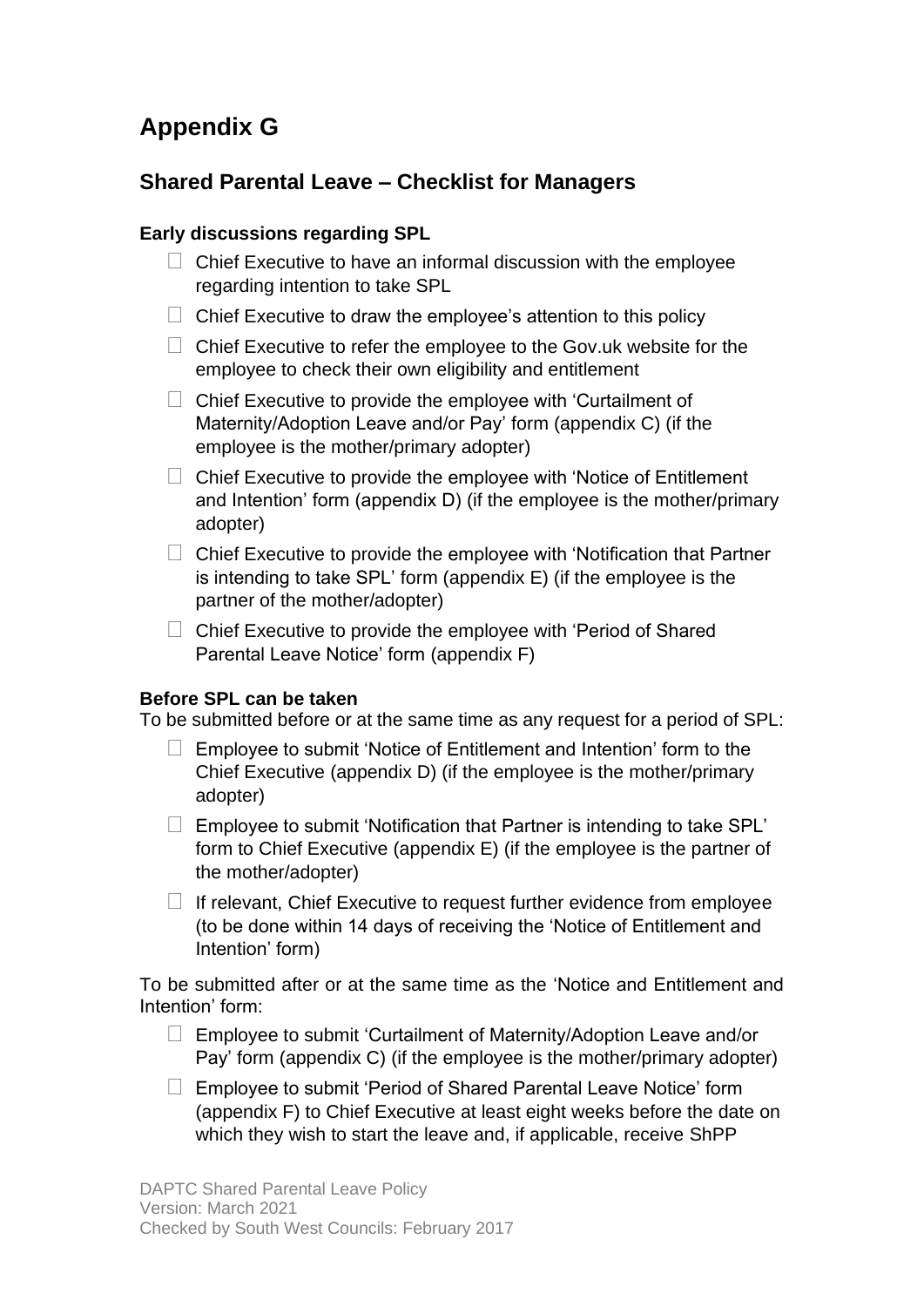# **Appendix G**

# **Shared Parental Leave – Checklist for Managers**

#### **Early discussions regarding SPL**

- $\Box$  Chief Executive to have an informal discussion with the employee regarding intention to take SPL
- $\Box$  Chief Executive to draw the employee's attention to this policy
- $\Box$  Chief Executive to refer the employee to the Gov.uk website for the employee to check their own eligibility and entitlement
- $\Box$  Chief Executive to provide the employee with 'Curtailment of Maternity/Adoption Leave and/or Pay' form (appendix C) (if the employee is the mother/primary adopter)
- $\Box$  Chief Executive to provide the employee with 'Notice of Entitlement and Intention' form (appendix D) (if the employee is the mother/primary adopter)
- $\Box$  Chief Executive to provide the employee with 'Notification that Partner is intending to take SPL' form (appendix E) (if the employee is the partner of the mother/adopter)
- $\Box$  Chief Executive to provide the employee with 'Period of Shared Parental Leave Notice' form (appendix F)

#### **Before SPL can be taken**

To be submitted before or at the same time as any request for a period of SPL:

- $\Box$  Employee to submit 'Notice of Entitlement and Intention' form to the Chief Executive (appendix D) (if the employee is the mother/primary adopter)
- $\Box$  Employee to submit 'Notification that Partner is intending to take SPL' form to Chief Executive (appendix E) (if the employee is the partner of the mother/adopter)
- $\Box$  If relevant, Chief Executive to request further evidence from employee (to be done within 14 days of receiving the 'Notice of Entitlement and Intention' form)

To be submitted after or at the same time as the 'Notice and Entitlement and Intention' form:

- $\Box$  Employee to submit 'Curtailment of Maternity/Adoption Leave and/or Pay' form (appendix C) (if the employee is the mother/primary adopter)
- □ Employee to submit 'Period of Shared Parental Leave Notice' form (appendix F) to Chief Executive at least eight weeks before the date on which they wish to start the leave and, if applicable, receive ShPP